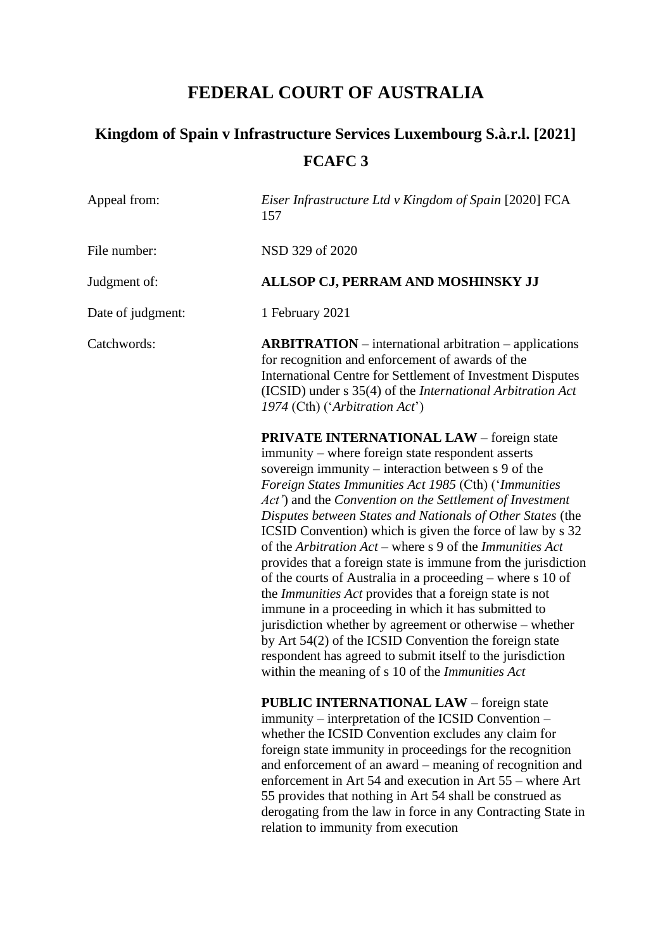# **FEDERAL COURT OF AUSTRALIA**

| Appeal from:      | Eiser Infrastructure Ltd v Kingdom of Spain [2020] FCA<br>157                                                                                                                                                                                                                                                                                                                                                                                                                                                                                                                                                                                                                                                                                                                                                                                                                                                                                                                     |
|-------------------|-----------------------------------------------------------------------------------------------------------------------------------------------------------------------------------------------------------------------------------------------------------------------------------------------------------------------------------------------------------------------------------------------------------------------------------------------------------------------------------------------------------------------------------------------------------------------------------------------------------------------------------------------------------------------------------------------------------------------------------------------------------------------------------------------------------------------------------------------------------------------------------------------------------------------------------------------------------------------------------|
| File number:      | NSD 329 of 2020                                                                                                                                                                                                                                                                                                                                                                                                                                                                                                                                                                                                                                                                                                                                                                                                                                                                                                                                                                   |
| Judgment of:      | ALLSOP CJ, PERRAM AND MOSHINSKY JJ                                                                                                                                                                                                                                                                                                                                                                                                                                                                                                                                                                                                                                                                                                                                                                                                                                                                                                                                                |
| Date of judgment: | 1 February 2021                                                                                                                                                                                                                                                                                                                                                                                                                                                                                                                                                                                                                                                                                                                                                                                                                                                                                                                                                                   |
| Catchwords:       | $ARBITRATION$ – international arbitration – applications<br>for recognition and enforcement of awards of the<br>International Centre for Settlement of Investment Disputes<br>(ICSID) under s 35(4) of the <i>International Arbitration Act</i><br>1974 (Cth) ('Arbitration Act')                                                                                                                                                                                                                                                                                                                                                                                                                                                                                                                                                                                                                                                                                                 |
|                   | <b>PRIVATE INTERNATIONAL LAW</b> – foreign state<br>immunity – where foreign state respondent asserts<br>sovereign immunity – interaction between s 9 of the<br>Foreign States Immunities Act 1985 (Cth) ('Immunities<br>Act') and the Convention on the Settlement of Investment<br>Disputes between States and Nationals of Other States (the<br>ICSID Convention) which is given the force of law by s 32<br>of the Arbitration $Act$ – where s 9 of the Immunities Act<br>provides that a foreign state is immune from the jurisdiction<br>of the courts of Australia in a proceeding – where s 10 of<br>the <i>Immunities Act</i> provides that a foreign state is not<br>immune in a proceeding in which it has submitted to<br>jurisdiction whether by agreement or otherwise – whether<br>by Art 54(2) of the ICSID Convention the foreign state<br>respondent has agreed to submit itself to the jurisdiction<br>within the meaning of s 10 of the <i>Immunities Act</i> |
|                   | PUBLIC INTERNATIONAL LAW - foreign state<br>immunity – interpretation of the ICSID Convention –<br>whether the ICSID Convention excludes any claim for<br>foreign state immunity in proceedings for the recognition<br>and enforcement of an award – meaning of recognition and<br>enforcement in Art 54 and execution in Art 55 – where Art<br>55 provides that nothing in Art 54 shall be construed as<br>derogating from the law in force in any Contracting State in<br>relation to immunity from execution                                                                                                                                                                                                                                                                                                                                                                                                                                                                   |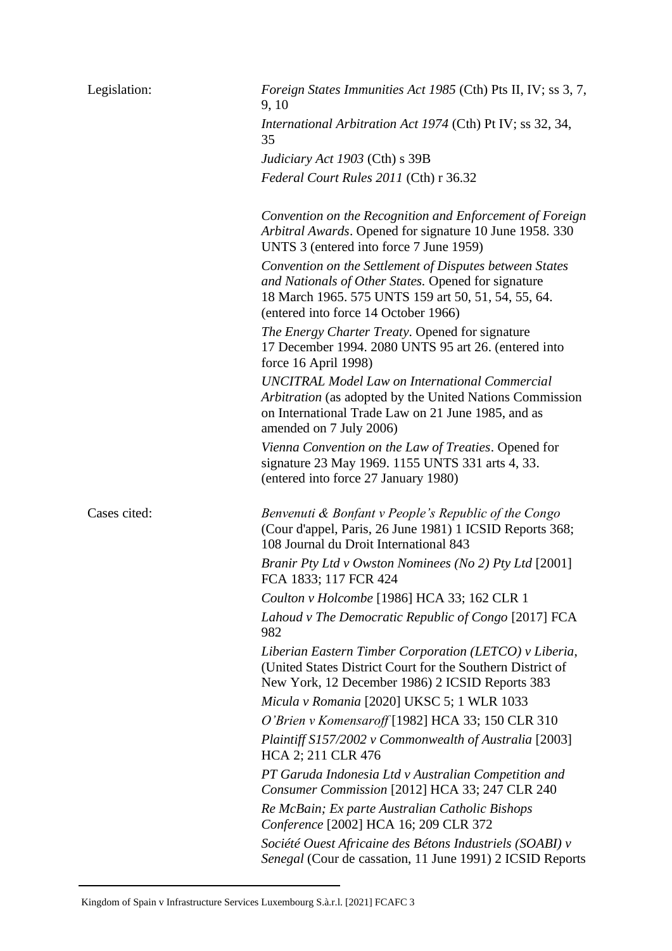| Legislation: | Foreign States Immunities Act 1985 (Cth) Pts II, IV; ss 3, 7,<br>9, 10                                                                                                                                        |
|--------------|---------------------------------------------------------------------------------------------------------------------------------------------------------------------------------------------------------------|
|              | International Arbitration Act 1974 (Cth) Pt IV; ss 32, 34,<br>35                                                                                                                                              |
|              | Judiciary Act 1903 (Cth) s 39B                                                                                                                                                                                |
|              | Federal Court Rules 2011 (Cth) r 36.32                                                                                                                                                                        |
|              | Convention on the Recognition and Enforcement of Foreign<br>Arbitral Awards. Opened for signature 10 June 1958. 330<br>UNTS 3 (entered into force 7 June 1959)                                                |
|              | Convention on the Settlement of Disputes between States<br>and Nationals of Other States. Opened for signature<br>18 March 1965. 575 UNTS 159 art 50, 51, 54, 55, 64.<br>(entered into force 14 October 1966) |
|              | The Energy Charter Treaty. Opened for signature<br>17 December 1994. 2080 UNTS 95 art 26. (entered into<br>force 16 April 1998)                                                                               |
|              | <b>UNCITRAL Model Law on International Commercial</b><br>Arbitration (as adopted by the United Nations Commission<br>on International Trade Law on 21 June 1985, and as<br>amended on 7 July 2006)            |
|              | Vienna Convention on the Law of Treaties. Opened for<br>signature 23 May 1969. 1155 UNTS 331 arts 4, 33.<br>(entered into force 27 January 1980)                                                              |
| Cases cited: | Benvenuti & Bonfant v People's Republic of the Congo<br>(Cour d'appel, Paris, 26 June 1981) 1 ICSID Reports 368;<br>108 Journal du Droit International 843                                                    |
|              | Branir Pty Ltd v Owston Nominees (No 2) Pty Ltd [2001]<br>FCA 1833; 117 FCR 424                                                                                                                               |
|              | Coulton v Holcombe [1986] HCA 33; 162 CLR 1                                                                                                                                                                   |
|              | Lahoud v The Democratic Republic of Congo [2017] FCA<br>982                                                                                                                                                   |
|              | Liberian Eastern Timber Corporation (LETCO) v Liberia,<br>(United States District Court for the Southern District of<br>New York, 12 December 1986) 2 ICSID Reports 383                                       |
|              | Micula v Romania [2020] UKSC 5; 1 WLR 1033                                                                                                                                                                    |
|              | O'Brien v Komensaroff [1982] HCA 33; 150 CLR 310                                                                                                                                                              |
|              | Plaintiff S157/2002 v Commonwealth of Australia [2003]<br>HCA 2; 211 CLR 476                                                                                                                                  |
|              | PT Garuda Indonesia Ltd v Australian Competition and<br>Consumer Commission [2012] HCA 33; 247 CLR 240                                                                                                        |
|              | Re McBain; Ex parte Australian Catholic Bishops<br>Conference [2002] HCA 16; 209 CLR 372                                                                                                                      |
|              | Société Ouest Africaine des Bétons Industriels (SOABI) v<br>Senegal (Cour de cassation, 11 June 1991) 2 ICSID Reports                                                                                         |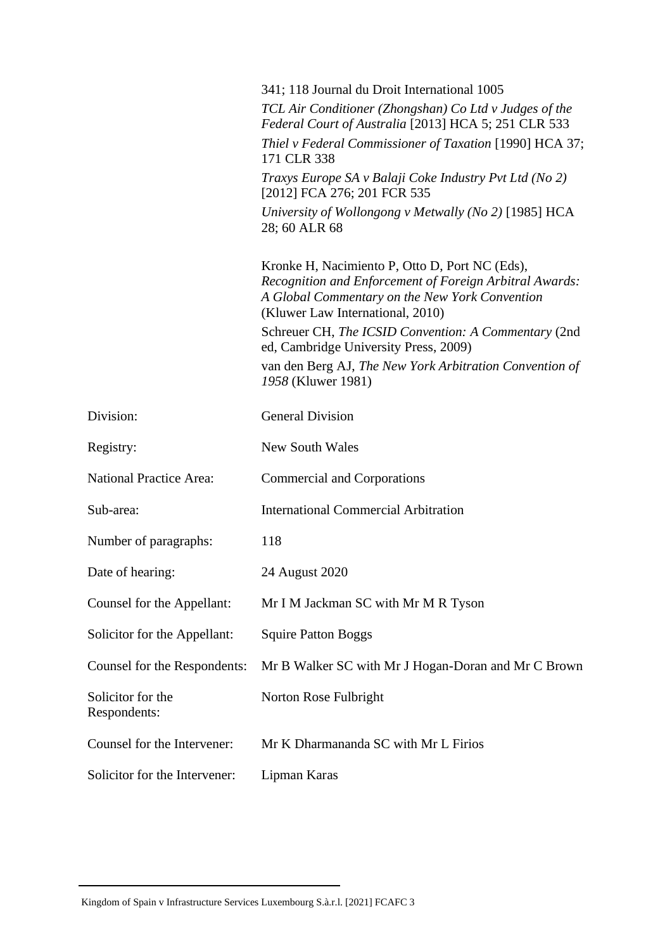|                                   | 341; 118 Journal du Droit International 1005<br>TCL Air Conditioner (Zhongshan) Co Ltd v Judges of the                                                                                          |
|-----------------------------------|-------------------------------------------------------------------------------------------------------------------------------------------------------------------------------------------------|
|                                   | Federal Court of Australia [2013] HCA 5; 251 CLR 533                                                                                                                                            |
|                                   | Thiel v Federal Commissioner of Taxation [1990] HCA 37;<br>171 CLR 338                                                                                                                          |
|                                   | Traxys Europe SA v Balaji Coke Industry Pvt Ltd (No 2)<br>[2012] FCA 276; 201 FCR 535                                                                                                           |
|                                   | University of Wollongong v Metwally (No 2) [1985] HCA<br>28; 60 ALR 68                                                                                                                          |
|                                   | Kronke H, Nacimiento P, Otto D, Port NC (Eds),<br>Recognition and Enforcement of Foreign Arbitral Awards:<br>A Global Commentary on the New York Convention<br>(Kluwer Law International, 2010) |
|                                   | Schreuer CH, The ICSID Convention: A Commentary (2nd<br>ed, Cambridge University Press, 2009)                                                                                                   |
|                                   | van den Berg AJ, The New York Arbitration Convention of<br>1958 (Kluwer 1981)                                                                                                                   |
| Division:                         | <b>General Division</b>                                                                                                                                                                         |
| Registry:                         | <b>New South Wales</b>                                                                                                                                                                          |
| <b>National Practice Area:</b>    | Commercial and Corporations                                                                                                                                                                     |
| Sub-area:                         | <b>International Commercial Arbitration</b>                                                                                                                                                     |
| Number of paragraphs:             | 118                                                                                                                                                                                             |
| Date of hearing:                  | 24 August 2020                                                                                                                                                                                  |
| Counsel for the Appellant:        | Mr I M Jackman SC with Mr M R Tyson                                                                                                                                                             |
| Solicitor for the Appellant:      | <b>Squire Patton Boggs</b>                                                                                                                                                                      |
| Counsel for the Respondents:      | Mr B Walker SC with Mr J Hogan-Doran and Mr C Brown                                                                                                                                             |
| Solicitor for the<br>Respondents: | Norton Rose Fulbright                                                                                                                                                                           |
| Counsel for the Intervener:       | Mr K Dharmananda SC with Mr L Firios                                                                                                                                                            |
| Solicitor for the Intervener:     | Lipman Karas                                                                                                                                                                                    |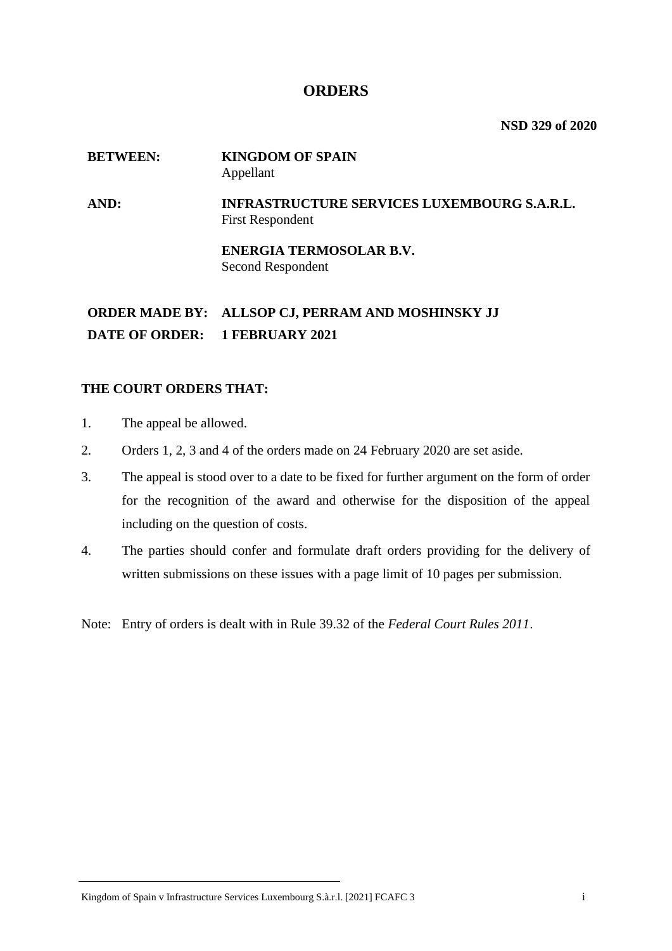## **ORDERS**

**NSD 329 of 2020**

## **BETWEEN: KINGDOM OF SPAIN** Appellant

**AND: INFRASTRUCTURE SERVICES LUXEMBOURG S.A.R.L.** First Respondent

> **ENERGIA TERMOSOLAR B.V.** Second Respondent

**ORDER MADE BY: ALLSOP CJ, PERRAM AND MOSHINSKY JJ DATE OF ORDER: 1 FEBRUARY 2021**

## **THE COURT ORDERS THAT:**

- 1. The appeal be allowed.
- 2. Orders 1, 2, 3 and 4 of the orders made on 24 February 2020 are set aside.
- 3. The appeal is stood over to a date to be fixed for further argument on the form of order for the recognition of the award and otherwise for the disposition of the appeal including on the question of costs.
- 4. The parties should confer and formulate draft orders providing for the delivery of written submissions on these issues with a page limit of 10 pages per submission.

Note: Entry of orders is dealt with in Rule 39.32 of the *Federal Court Rules 2011*.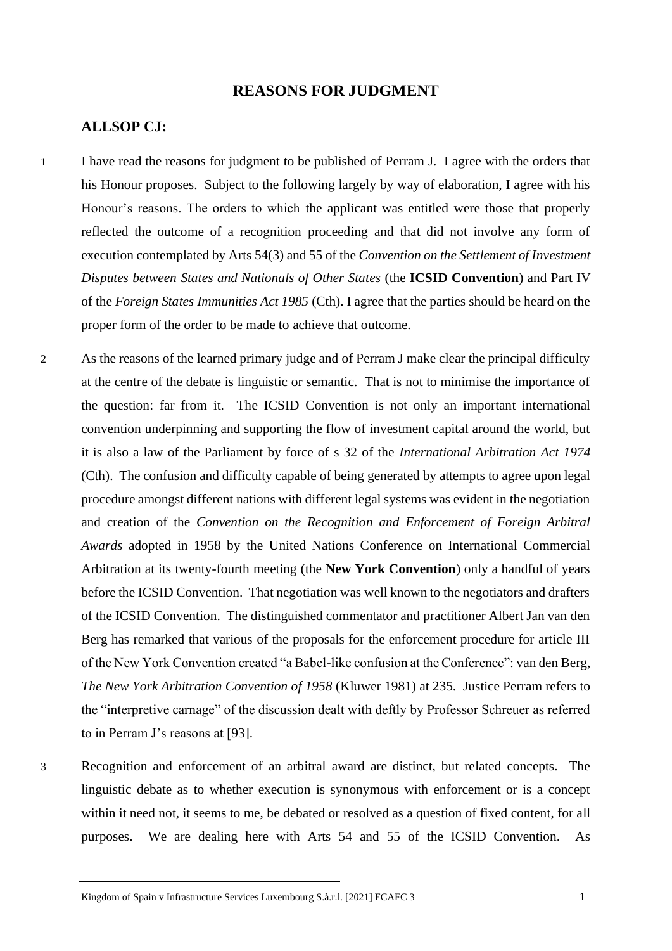## **REASONS FOR JUDGMENT**

#### **ALLSOP CJ:**

- 1 I have read the reasons for judgment to be published of Perram J. I agree with the orders that his Honour proposes. Subject to the following largely by way of elaboration, I agree with his Honour's reasons. The orders to which the applicant was entitled were those that properly reflected the outcome of a recognition proceeding and that did not involve any form of execution contemplated by Arts 54(3) and 55 of the *Convention on the Settlement of Investment Disputes between States and Nationals of Other States* (the **ICSID Convention**) and Part IV of the *Foreign States Immunities Act 1985* (Cth). I agree that the parties should be heard on the proper form of the order to be made to achieve that outcome.
- 2 As the reasons of the learned primary judge and of Perram J make clear the principal difficulty at the centre of the debate is linguistic or semantic. That is not to minimise the importance of the question: far from it. The ICSID Convention is not only an important international convention underpinning and supporting the flow of investment capital around the world, but it is also a law of the Parliament by force of s 32 of the *International Arbitration Act 1974* (Cth). The confusion and difficulty capable of being generated by attempts to agree upon legal procedure amongst different nations with different legal systems was evident in the negotiation and creation of the *Convention on the Recognition and Enforcement of Foreign Arbitral Awards* adopted in 1958 by the United Nations Conference on International Commercial Arbitration at its twenty-fourth meeting (the **New York Convention**) only a handful of years before the ICSID Convention. That negotiation was well known to the negotiators and drafters of the ICSID Convention. The distinguished commentator and practitioner Albert Jan van den Berg has remarked that various of the proposals for the enforcement procedure for article III of the New York Convention created "a Babel-like confusion at the Conference": van den Berg, *The New York Arbitration Convention of 1958* (Kluwer 1981) at 235. Justice Perram refers to the "interpretive carnage" of the discussion dealt with deftly by Professor Schreuer as referred to in Perram J's reasons at [93].
- 3 Recognition and enforcement of an arbitral award are distinct, but related concepts. The linguistic debate as to whether execution is synonymous with enforcement or is a concept within it need not, it seems to me, be debated or resolved as a question of fixed content, for all purposes. We are dealing here with Arts 54 and 55 of the ICSID Convention. As

Kingdom of Spain v Infrastructure Services Luxembourg S.à.r.l. [2021] FCAFC 3 1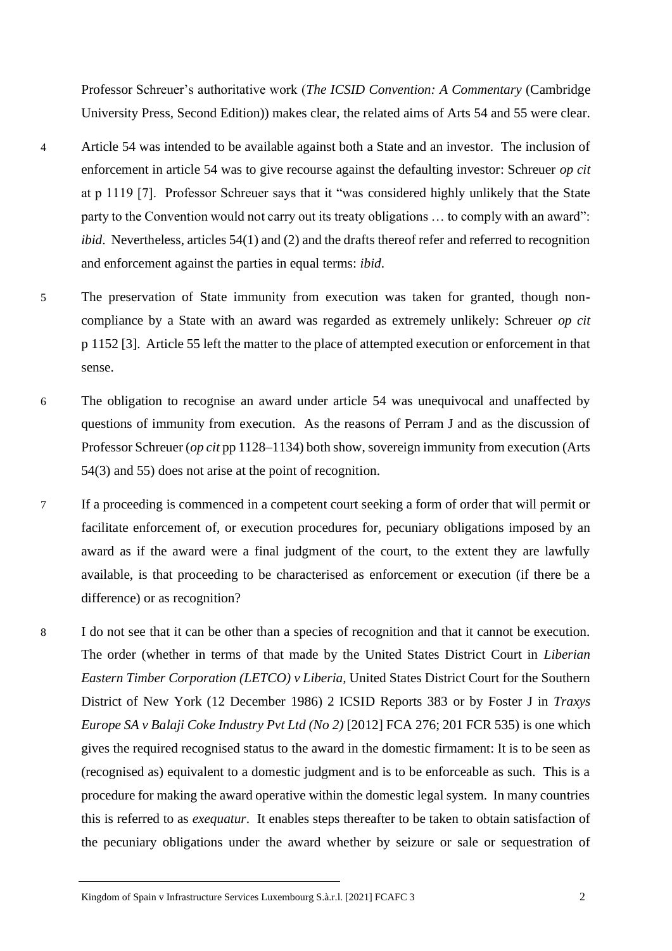Professor Schreuer's authoritative work (*The ICSID Convention: A Commentary* (Cambridge University Press, Second Edition)) makes clear, the related aims of Arts 54 and 55 were clear.

- 4 Article 54 was intended to be available against both a State and an investor. The inclusion of enforcement in article 54 was to give recourse against the defaulting investor: Schreuer *op cit* at p 1119 [7]. Professor Schreuer says that it "was considered highly unlikely that the State party to the Convention would not carry out its treaty obligations ... to comply with an award": *ibid*. Nevertheless, articles 54(1) and (2) and the drafts thereof refer and referred to recognition and enforcement against the parties in equal terms: *ibid*.
- 5 The preservation of State immunity from execution was taken for granted, though noncompliance by a State with an award was regarded as extremely unlikely: Schreuer *op cit* p 1152 [3]. Article 55 left the matter to the place of attempted execution or enforcement in that sense.
- 6 The obligation to recognise an award under article 54 was unequivocal and unaffected by questions of immunity from execution. As the reasons of Perram J and as the discussion of Professor Schreuer (*op cit* pp 1128–1134) both show, sovereign immunity from execution (Arts 54(3) and 55) does not arise at the point of recognition.
- 7 If a proceeding is commenced in a competent court seeking a form of order that will permit or facilitate enforcement of, or execution procedures for, pecuniary obligations imposed by an award as if the award were a final judgment of the court, to the extent they are lawfully available, is that proceeding to be characterised as enforcement or execution (if there be a difference) or as recognition?
- 8 I do not see that it can be other than a species of recognition and that it cannot be execution. The order (whether in terms of that made by the United States District Court in *Liberian Eastern Timber Corporation (LETCO) v Liberia,* United States District Court for the Southern District of New York (12 December 1986) 2 ICSID Reports 383 or by Foster J in *Traxys Europe SA v Balaji Coke Industry Pvt Ltd (No 2)* [2012] FCA 276; 201 FCR 535) is one which gives the required recognised status to the award in the domestic firmament: It is to be seen as (recognised as) equivalent to a domestic judgment and is to be enforceable as such. This is a procedure for making the award operative within the domestic legal system. In many countries this is referred to as *exequatur*. It enables steps thereafter to be taken to obtain satisfaction of the pecuniary obligations under the award whether by seizure or sale or sequestration of

Kingdom of Spain v Infrastructure Services Luxembourg S.à.r.l. [2021] FCAFC 3 2 2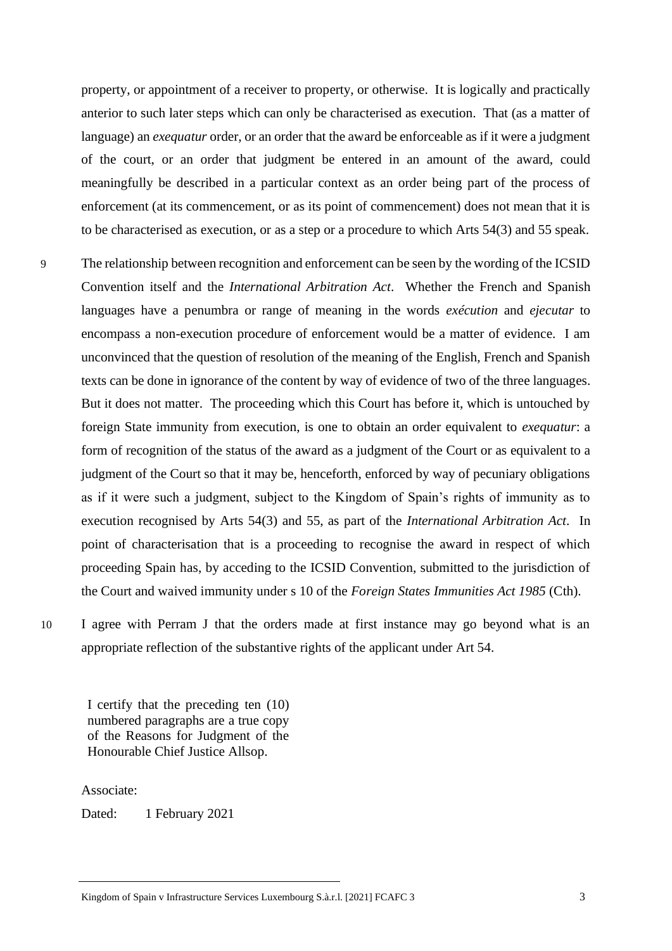property, or appointment of a receiver to property, or otherwise. It is logically and practically anterior to such later steps which can only be characterised as execution. That (as a matter of language) an *exequatur* order, or an order that the award be enforceable as if it were a judgment of the court, or an order that judgment be entered in an amount of the award, could meaningfully be described in a particular context as an order being part of the process of enforcement (at its commencement, or as its point of commencement) does not mean that it is to be characterised as execution, or as a step or a procedure to which Arts 54(3) and 55 speak.

- 9 The relationship between recognition and enforcement can be seen by the wording of the ICSID Convention itself and the *International Arbitration Act*. Whether the French and Spanish languages have a penumbra or range of meaning in the words *exécution* and *ejecutar* to encompass a non-execution procedure of enforcement would be a matter of evidence. I am unconvinced that the question of resolution of the meaning of the English, French and Spanish texts can be done in ignorance of the content by way of evidence of two of the three languages. But it does not matter. The proceeding which this Court has before it, which is untouched by foreign State immunity from execution, is one to obtain an order equivalent to *exequatur*: a form of recognition of the status of the award as a judgment of the Court or as equivalent to a judgment of the Court so that it may be, henceforth, enforced by way of pecuniary obligations as if it were such a judgment, subject to the Kingdom of Spain's rights of immunity as to execution recognised by Arts 54(3) and 55, as part of the *International Arbitration Act*. In point of characterisation that is a proceeding to recognise the award in respect of which proceeding Spain has, by acceding to the ICSID Convention, submitted to the jurisdiction of the Court and waived immunity under s 10 of the *Foreign States Immunities Act 1985* (Cth).
- 

10 I agree with Perram J that the orders made at first instance may go beyond what is an appropriate reflection of the substantive rights of the applicant under Art 54.

I certify that the preceding ten (10) numbered paragraphs are a true copy of the Reasons for Judgment of the Honourable Chief Justice Allsop.

Associate:

Dated: 1 February 2021

Kingdom of Spain v Infrastructure Services Luxembourg S.à.r.l. [2021] FCAFC 3 3 3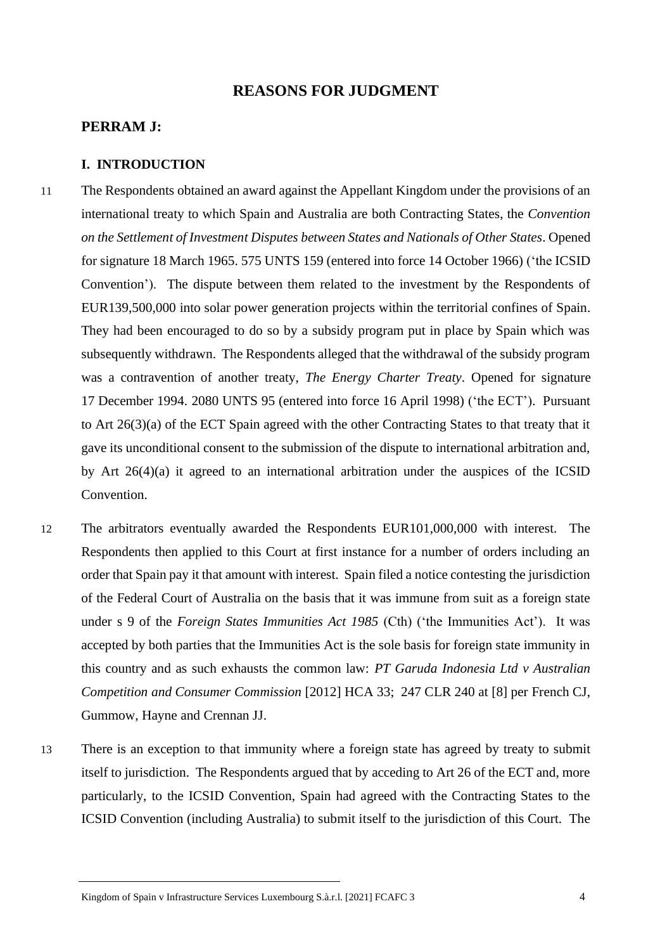## **REASONS FOR JUDGMENT**

#### **PERRAM J:**

#### **I. INTRODUCTION**

- 11 The Respondents obtained an award against the Appellant Kingdom under the provisions of an international treaty to which Spain and Australia are both Contracting States, the *Convention on the Settlement of Investment Disputes between States and Nationals of Other States*. Opened for signature 18 March 1965. 575 UNTS 159 (entered into force 14 October 1966) ('the ICSID Convention'). The dispute between them related to the investment by the Respondents of EUR139,500,000 into solar power generation projects within the territorial confines of Spain. They had been encouraged to do so by a subsidy program put in place by Spain which was subsequently withdrawn. The Respondents alleged that the withdrawal of the subsidy program was a contravention of another treaty, *The Energy Charter Treaty*. Opened for signature 17 December 1994. 2080 UNTS 95 (entered into force 16 April 1998) ('the ECT'). Pursuant to Art 26(3)(a) of the ECT Spain agreed with the other Contracting States to that treaty that it gave its unconditional consent to the submission of the dispute to international arbitration and, by Art 26(4)(a) it agreed to an international arbitration under the auspices of the ICSID Convention.
- 12 The arbitrators eventually awarded the Respondents EUR101,000,000 with interest. The Respondents then applied to this Court at first instance for a number of orders including an order that Spain pay it that amount with interest. Spain filed a notice contesting the jurisdiction of the Federal Court of Australia on the basis that it was immune from suit as a foreign state under s 9 of the *Foreign States Immunities Act 1985* (Cth) ('the Immunities Act'). It was accepted by both parties that the Immunities Act is the sole basis for foreign state immunity in this country and as such exhausts the common law: *PT Garuda Indonesia Ltd v Australian Competition and Consumer Commission* [2012] HCA 33; 247 CLR 240 at [8] per French CJ, Gummow, Hayne and Crennan JJ.
- 13 There is an exception to that immunity where a foreign state has agreed by treaty to submit itself to jurisdiction. The Respondents argued that by acceding to Art 26 of the ECT and, more particularly, to the ICSID Convention, Spain had agreed with the Contracting States to the ICSID Convention (including Australia) to submit itself to the jurisdiction of this Court. The

Kingdom of Spain v Infrastructure Services Luxembourg S.à.r.l. [2021] FCAFC 3 4 4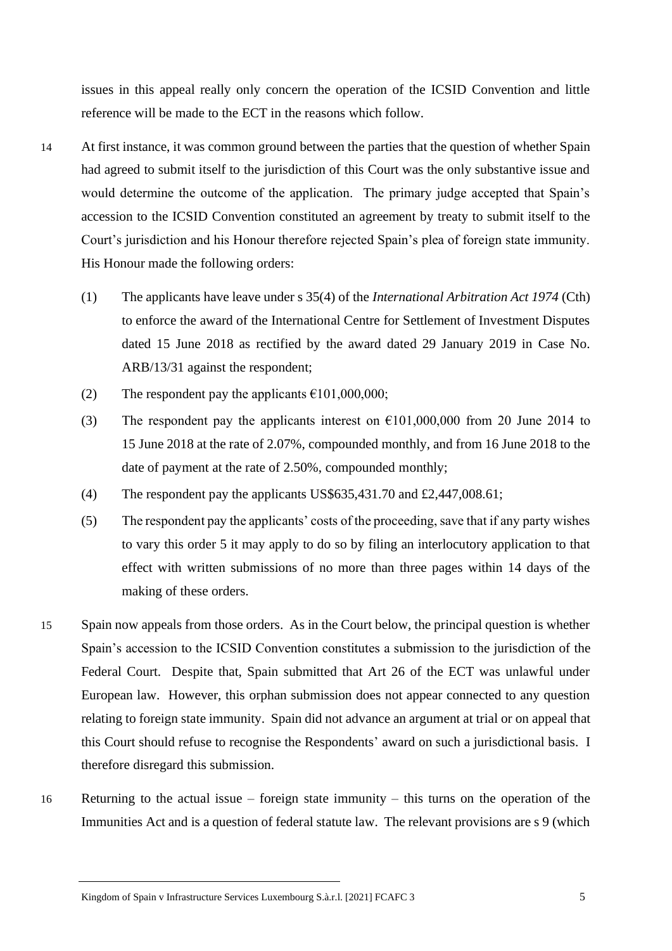issues in this appeal really only concern the operation of the ICSID Convention and little reference will be made to the ECT in the reasons which follow.

- 14 At first instance, it was common ground between the parties that the question of whether Spain had agreed to submit itself to the jurisdiction of this Court was the only substantive issue and would determine the outcome of the application. The primary judge accepted that Spain's accession to the ICSID Convention constituted an agreement by treaty to submit itself to the Court's jurisdiction and his Honour therefore rejected Spain's plea of foreign state immunity. His Honour made the following orders:
	- (1) The applicants have leave under s 35(4) of the *International Arbitration Act 1974* (Cth) to enforce the award of the International Centre for Settlement of Investment Disputes dated 15 June 2018 as rectified by the award dated 29 January 2019 in Case No. ARB/13/31 against the respondent;
	- (2) The respondent pay the applicants  $\epsilon$ 101,000,000;
	- (3) The respondent pay the applicants interest on  $\epsilon$ 101,000,000 from 20 June 2014 to 15 June 2018 at the rate of 2.07%, compounded monthly, and from 16 June 2018 to the date of payment at the rate of 2.50%, compounded monthly;
	- (4) The respondent pay the applicants US\$635,431.70 and £2,447,008.61;
	- (5) The respondent pay the applicants' costs of the proceeding, save that if any party wishes to vary this order 5 it may apply to do so by filing an interlocutory application to that effect with written submissions of no more than three pages within 14 days of the making of these orders.
- 15 Spain now appeals from those orders. As in the Court below, the principal question is whether Spain's accession to the ICSID Convention constitutes a submission to the jurisdiction of the Federal Court. Despite that, Spain submitted that Art 26 of the ECT was unlawful under European law. However, this orphan submission does not appear connected to any question relating to foreign state immunity. Spain did not advance an argument at trial or on appeal that this Court should refuse to recognise the Respondents' award on such a jurisdictional basis. I therefore disregard this submission.
- 16 Returning to the actual issue foreign state immunity this turns on the operation of the Immunities Act and is a question of federal statute law. The relevant provisions are s 9 (which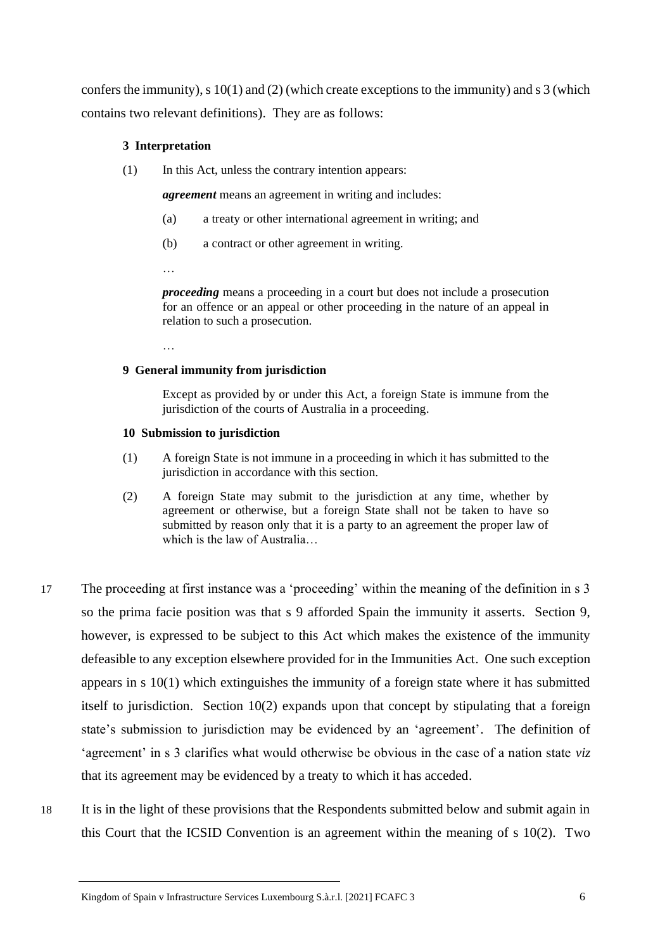confers the immunity), s 10(1) and (2) (which create exceptions to the immunity) and s 3 (which contains two relevant definitions). They are as follows:

#### **3 Interpretation**

(1) In this Act, unless the contrary intention appears:

*agreement* means an agreement in writing and includes:

- (a) a treaty or other international agreement in writing; and
- (b) a contract or other agreement in writing.
- …

*proceeding* means a proceeding in a court but does not include a prosecution for an offence or an appeal or other proceeding in the nature of an appeal in relation to such a prosecution.

…

#### **9 General immunity from jurisdiction**

Except as provided by or under this Act, a foreign State is immune from the jurisdiction of the courts of Australia in a proceeding.

#### **10 Submission to jurisdiction**

- (1) A foreign State is not immune in a proceeding in which it has submitted to the jurisdiction in accordance with this section.
- (2) A foreign State may submit to the jurisdiction at any time, whether by agreement or otherwise, but a foreign State shall not be taken to have so submitted by reason only that it is a party to an agreement the proper law of which is the law of Australia…
- 17 The proceeding at first instance was a 'proceeding' within the meaning of the definition in s 3 so the prima facie position was that s 9 afforded Spain the immunity it asserts. Section 9, however, is expressed to be subject to this Act which makes the existence of the immunity defeasible to any exception elsewhere provided for in the Immunities Act. One such exception appears in s 10(1) which extinguishes the immunity of a foreign state where it has submitted itself to jurisdiction. Section 10(2) expands upon that concept by stipulating that a foreign state's submission to jurisdiction may be evidenced by an 'agreement'. The definition of 'agreement' in s 3 clarifies what would otherwise be obvious in the case of a nation state *viz* that its agreement may be evidenced by a treaty to which it has acceded.
- 18 It is in the light of these provisions that the Respondents submitted below and submit again in this Court that the ICSID Convention is an agreement within the meaning of s 10(2). Two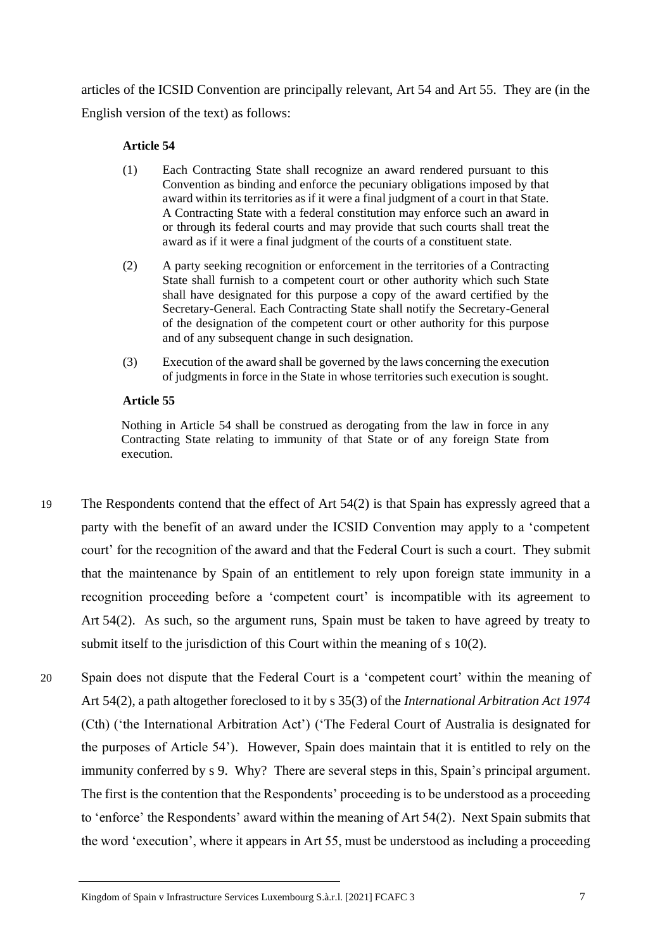articles of the ICSID Convention are principally relevant, Art 54 and Art 55. They are (in the English version of the text) as follows:

#### **Article 54**

- (1) Each Contracting State shall recognize an award rendered pursuant to this Convention as binding and enforce the pecuniary obligations imposed by that award within its territories as if it were a final judgment of a court in that State. A Contracting State with a federal constitution may enforce such an award in or through its federal courts and may provide that such courts shall treat the award as if it were a final judgment of the courts of a constituent state.
- (2) A party seeking recognition or enforcement in the territories of a Contracting State shall furnish to a competent court or other authority which such State shall have designated for this purpose a copy of the award certified by the Secretary-General. Each Contracting State shall notify the Secretary-General of the designation of the competent court or other authority for this purpose and of any subsequent change in such designation.
- (3) Execution of the award shall be governed by the laws concerning the execution of judgments in force in the State in whose territories such execution is sought.

#### **Article 55**

Nothing in Article 54 shall be construed as derogating from the law in force in any Contracting State relating to immunity of that State or of any foreign State from execution.

- 19 The Respondents contend that the effect of Art 54(2) is that Spain has expressly agreed that a party with the benefit of an award under the ICSID Convention may apply to a 'competent court' for the recognition of the award and that the Federal Court is such a court. They submit that the maintenance by Spain of an entitlement to rely upon foreign state immunity in a recognition proceeding before a 'competent court' is incompatible with its agreement to Art 54(2). As such, so the argument runs, Spain must be taken to have agreed by treaty to submit itself to the jurisdiction of this Court within the meaning of s 10(2).
- 20 Spain does not dispute that the Federal Court is a 'competent court' within the meaning of Art 54(2), a path altogether foreclosed to it by s 35(3) of the *International Arbitration Act 1974*  (Cth) ('the International Arbitration Act') ('The Federal Court of Australia is designated for the purposes of Article 54'). However, Spain does maintain that it is entitled to rely on the immunity conferred by s 9. Why? There are several steps in this, Spain's principal argument. The first is the contention that the Respondents' proceeding is to be understood as a proceeding to 'enforce' the Respondents' award within the meaning of Art 54(2). Next Spain submits that the word 'execution', where it appears in Art 55, must be understood as including a proceeding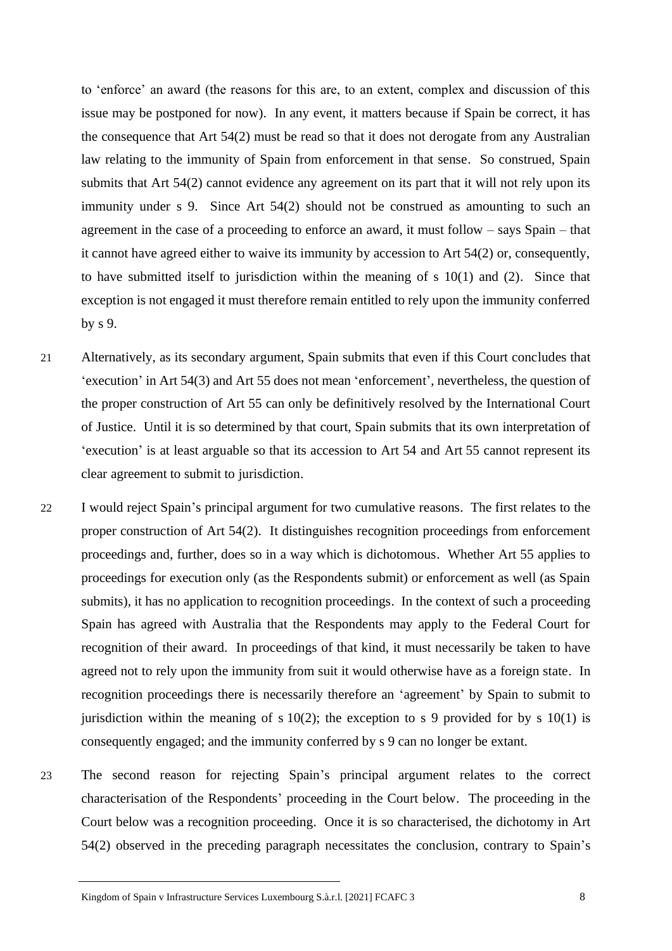to 'enforce' an award (the reasons for this are, to an extent, complex and discussion of this issue may be postponed for now). In any event, it matters because if Spain be correct, it has the consequence that Art 54(2) must be read so that it does not derogate from any Australian law relating to the immunity of Spain from enforcement in that sense. So construed, Spain submits that Art 54(2) cannot evidence any agreement on its part that it will not rely upon its immunity under s 9. Since Art 54(2) should not be construed as amounting to such an agreement in the case of a proceeding to enforce an award, it must follow – says Spain – that it cannot have agreed either to waive its immunity by accession to Art 54(2) or, consequently, to have submitted itself to jurisdiction within the meaning of s 10(1) and (2). Since that exception is not engaged it must therefore remain entitled to rely upon the immunity conferred by s 9.

- 21 Alternatively, as its secondary argument, Spain submits that even if this Court concludes that 'execution' in Art 54(3) and Art 55 does not mean 'enforcement', nevertheless, the question of the proper construction of Art 55 can only be definitively resolved by the International Court of Justice. Until it is so determined by that court, Spain submits that its own interpretation of 'execution' is at least arguable so that its accession to Art 54 and Art 55 cannot represent its clear agreement to submit to jurisdiction.
- 22 I would reject Spain's principal argument for two cumulative reasons. The first relates to the proper construction of Art 54(2). It distinguishes recognition proceedings from enforcement proceedings and, further, does so in a way which is dichotomous. Whether Art 55 applies to proceedings for execution only (as the Respondents submit) or enforcement as well (as Spain submits), it has no application to recognition proceedings. In the context of such a proceeding Spain has agreed with Australia that the Respondents may apply to the Federal Court for recognition of their award. In proceedings of that kind, it must necessarily be taken to have agreed not to rely upon the immunity from suit it would otherwise have as a foreign state. In recognition proceedings there is necessarily therefore an 'agreement' by Spain to submit to jurisdiction within the meaning of s  $10(2)$ ; the exception to s 9 provided for by s  $10(1)$  is consequently engaged; and the immunity conferred by s 9 can no longer be extant.
- 23 The second reason for rejecting Spain's principal argument relates to the correct characterisation of the Respondents' proceeding in the Court below. The proceeding in the Court below was a recognition proceeding. Once it is so characterised, the dichotomy in Art 54(2) observed in the preceding paragraph necessitates the conclusion, contrary to Spain's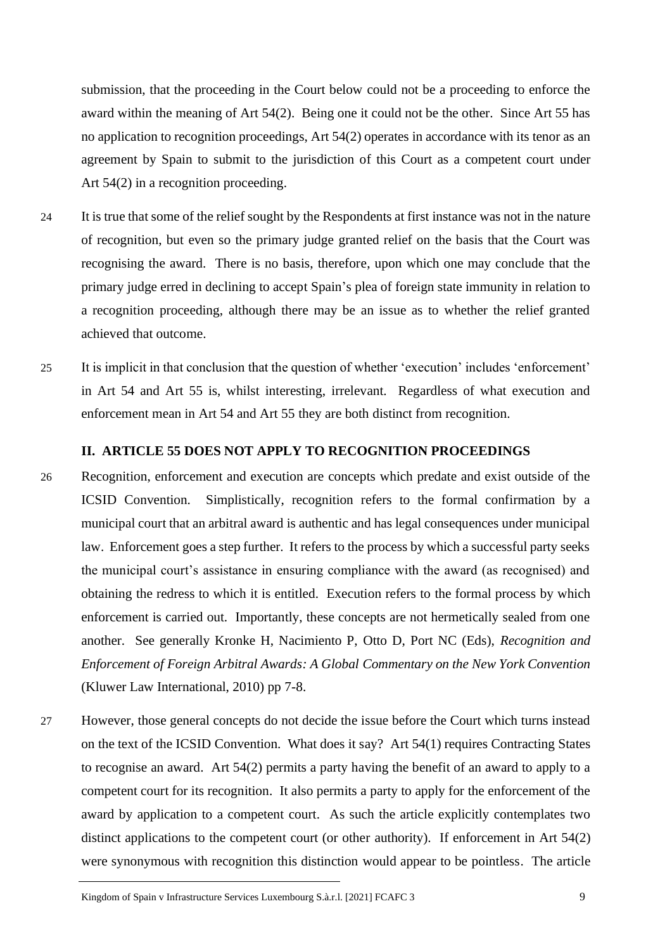submission, that the proceeding in the Court below could not be a proceeding to enforce the award within the meaning of Art 54(2). Being one it could not be the other. Since Art 55 has no application to recognition proceedings, Art 54(2) operates in accordance with its tenor as an agreement by Spain to submit to the jurisdiction of this Court as a competent court under Art 54(2) in a recognition proceeding.

- 24 It is true that some of the relief sought by the Respondents at first instance was not in the nature of recognition, but even so the primary judge granted relief on the basis that the Court was recognising the award. There is no basis, therefore, upon which one may conclude that the primary judge erred in declining to accept Spain's plea of foreign state immunity in relation to a recognition proceeding, although there may be an issue as to whether the relief granted achieved that outcome.
- 25 It is implicit in that conclusion that the question of whether 'execution' includes 'enforcement' in Art 54 and Art 55 is, whilst interesting, irrelevant. Regardless of what execution and enforcement mean in Art 54 and Art 55 they are both distinct from recognition.

#### **II. ARTICLE 55 DOES NOT APPLY TO RECOGNITION PROCEEDINGS**

- 26 Recognition, enforcement and execution are concepts which predate and exist outside of the ICSID Convention. Simplistically, recognition refers to the formal confirmation by a municipal court that an arbitral award is authentic and has legal consequences under municipal law. Enforcement goes a step further. It refers to the process by which a successful party seeks the municipal court's assistance in ensuring compliance with the award (as recognised) and obtaining the redress to which it is entitled. Execution refers to the formal process by which enforcement is carried out. Importantly, these concepts are not hermetically sealed from one another. See generally Kronke H, Nacimiento P, Otto D, Port NC (Eds), *Recognition and Enforcement of Foreign Arbitral Awards: A Global Commentary on the New York Convention* (Kluwer Law International, 2010) pp 7-8.
- 27 However, those general concepts do not decide the issue before the Court which turns instead on the text of the ICSID Convention. What does it say? Art 54(1) requires Contracting States to recognise an award. Art 54(2) permits a party having the benefit of an award to apply to a competent court for its recognition. It also permits a party to apply for the enforcement of the award by application to a competent court. As such the article explicitly contemplates two distinct applications to the competent court (or other authority). If enforcement in Art 54(2) were synonymous with recognition this distinction would appear to be pointless. The article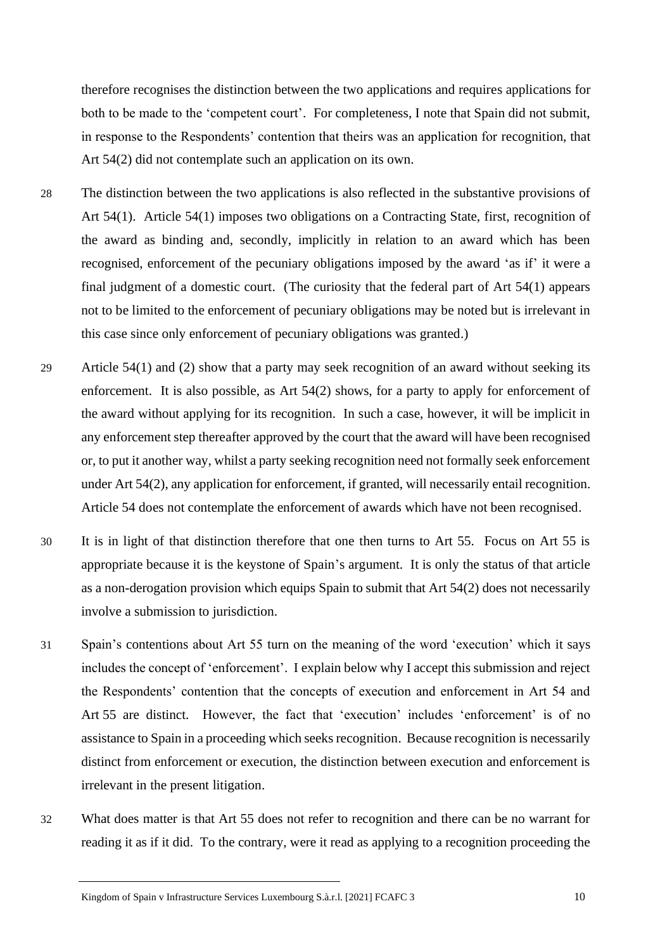therefore recognises the distinction between the two applications and requires applications for both to be made to the 'competent court'. For completeness, I note that Spain did not submit, in response to the Respondents' contention that theirs was an application for recognition, that Art 54(2) did not contemplate such an application on its own.

- 28 The distinction between the two applications is also reflected in the substantive provisions of Art 54(1). Article 54(1) imposes two obligations on a Contracting State, first, recognition of the award as binding and, secondly, implicitly in relation to an award which has been recognised, enforcement of the pecuniary obligations imposed by the award 'as if' it were a final judgment of a domestic court. (The curiosity that the federal part of Art 54(1) appears not to be limited to the enforcement of pecuniary obligations may be noted but is irrelevant in this case since only enforcement of pecuniary obligations was granted.)
- 29 Article 54(1) and (2) show that a party may seek recognition of an award without seeking its enforcement. It is also possible, as Art 54(2) shows, for a party to apply for enforcement of the award without applying for its recognition. In such a case, however, it will be implicit in any enforcement step thereafter approved by the court that the award will have been recognised or, to put it another way, whilst a party seeking recognition need not formally seek enforcement under Art 54(2), any application for enforcement, if granted, will necessarily entail recognition. Article 54 does not contemplate the enforcement of awards which have not been recognised.
- 30 It is in light of that distinction therefore that one then turns to Art 55. Focus on Art 55 is appropriate because it is the keystone of Spain's argument. It is only the status of that article as a non-derogation provision which equips Spain to submit that Art 54(2) does not necessarily involve a submission to jurisdiction.
- 31 Spain's contentions about Art 55 turn on the meaning of the word 'execution' which it says includes the concept of 'enforcement'. I explain below why I accept this submission and reject the Respondents' contention that the concepts of execution and enforcement in Art 54 and Art 55 are distinct. However, the fact that 'execution' includes 'enforcement' is of no assistance to Spain in a proceeding which seeks recognition. Because recognition is necessarily distinct from enforcement or execution, the distinction between execution and enforcement is irrelevant in the present litigation.
- 32 What does matter is that Art 55 does not refer to recognition and there can be no warrant for reading it as if it did. To the contrary, were it read as applying to a recognition proceeding the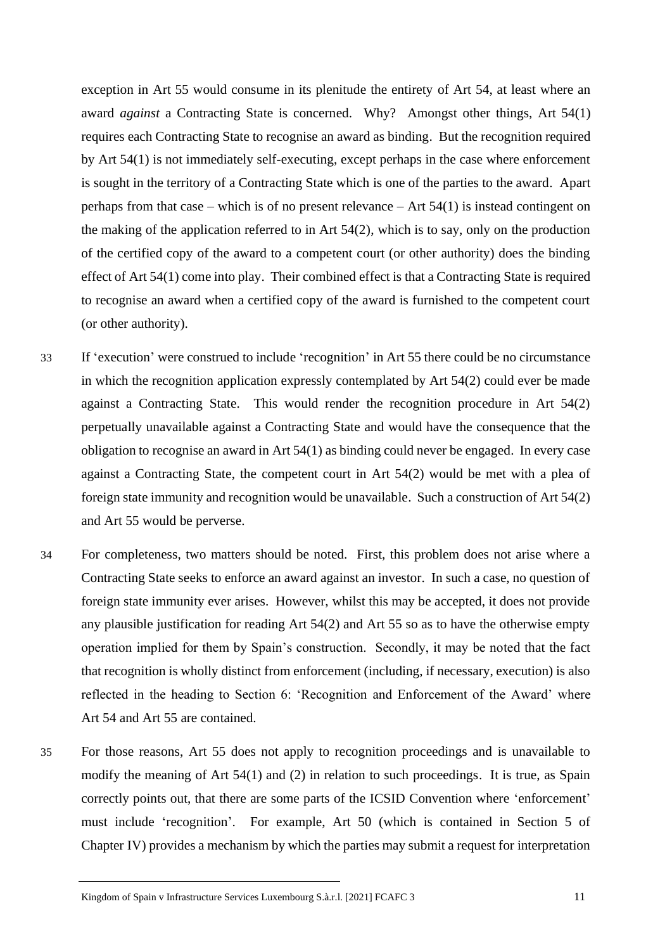exception in Art 55 would consume in its plenitude the entirety of Art 54, at least where an award *against* a Contracting State is concerned. Why? Amongst other things, Art 54(1) requires each Contracting State to recognise an award as binding. But the recognition required by Art 54(1) is not immediately self-executing, except perhaps in the case where enforcement is sought in the territory of a Contracting State which is one of the parties to the award. Apart perhaps from that case – which is of no present relevance – Art 54(1) is instead contingent on the making of the application referred to in Art 54(2), which is to say, only on the production of the certified copy of the award to a competent court (or other authority) does the binding effect of Art 54(1) come into play. Their combined effect is that a Contracting State is required to recognise an award when a certified copy of the award is furnished to the competent court (or other authority).

- 33 If 'execution' were construed to include 'recognition' in Art 55 there could be no circumstance in which the recognition application expressly contemplated by Art 54(2) could ever be made against a Contracting State. This would render the recognition procedure in Art 54(2) perpetually unavailable against a Contracting State and would have the consequence that the obligation to recognise an award in Art 54(1) as binding could never be engaged. In every case against a Contracting State, the competent court in Art 54(2) would be met with a plea of foreign state immunity and recognition would be unavailable. Such a construction of Art 54(2) and Art 55 would be perverse.
- 34 For completeness, two matters should be noted. First, this problem does not arise where a Contracting State seeks to enforce an award against an investor. In such a case, no question of foreign state immunity ever arises. However, whilst this may be accepted, it does not provide any plausible justification for reading Art 54(2) and Art 55 so as to have the otherwise empty operation implied for them by Spain's construction. Secondly, it may be noted that the fact that recognition is wholly distinct from enforcement (including, if necessary, execution) is also reflected in the heading to Section 6: 'Recognition and Enforcement of the Award' where Art 54 and Art 55 are contained.
- 35 For those reasons, Art 55 does not apply to recognition proceedings and is unavailable to modify the meaning of Art 54(1) and (2) in relation to such proceedings. It is true, as Spain correctly points out, that there are some parts of the ICSID Convention where 'enforcement' must include 'recognition'. For example, Art 50 (which is contained in Section 5 of Chapter IV) provides a mechanism by which the parties may submit a request for interpretation

Kingdom of Spain v Infrastructure Services Luxembourg S.à.r.l. [2021] FCAFC 3 11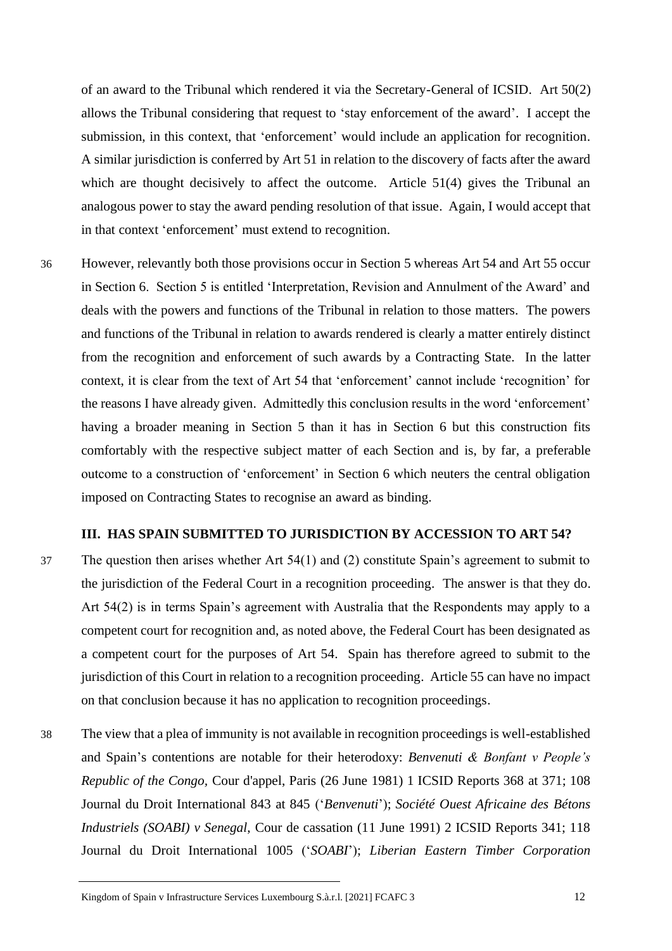of an award to the Tribunal which rendered it via the Secretary-General of ICSID. Art 50(2) allows the Tribunal considering that request to 'stay enforcement of the award'. I accept the submission, in this context, that 'enforcement' would include an application for recognition. A similar jurisdiction is conferred by Art 51 in relation to the discovery of facts after the award which are thought decisively to affect the outcome. Article 51(4) gives the Tribunal an analogous power to stay the award pending resolution of that issue. Again, I would accept that in that context 'enforcement' must extend to recognition.

36 However, relevantly both those provisions occur in Section 5 whereas Art 54 and Art 55 occur in Section 6. Section 5 is entitled 'Interpretation, Revision and Annulment of the Award' and deals with the powers and functions of the Tribunal in relation to those matters. The powers and functions of the Tribunal in relation to awards rendered is clearly a matter entirely distinct from the recognition and enforcement of such awards by a Contracting State. In the latter context, it is clear from the text of Art 54 that 'enforcement' cannot include 'recognition' for the reasons I have already given. Admittedly this conclusion results in the word 'enforcement' having a broader meaning in Section 5 than it has in Section 6 but this construction fits comfortably with the respective subject matter of each Section and is, by far, a preferable outcome to a construction of 'enforcement' in Section 6 which neuters the central obligation imposed on Contracting States to recognise an award as binding.

## **III. HAS SPAIN SUBMITTED TO JURISDICTION BY ACCESSION TO ART 54?**

- 37 The question then arises whether Art 54(1) and (2) constitute Spain's agreement to submit to the jurisdiction of the Federal Court in a recognition proceeding. The answer is that they do. Art 54(2) is in terms Spain's agreement with Australia that the Respondents may apply to a competent court for recognition and, as noted above, the Federal Court has been designated as a competent court for the purposes of Art 54. Spain has therefore agreed to submit to the jurisdiction of this Court in relation to a recognition proceeding. Article 55 can have no impact on that conclusion because it has no application to recognition proceedings.
- 38 The view that a plea of immunity is not available in recognition proceedings is well-established and Spain's contentions are notable for their heterodoxy: *Benvenuti & Bonfant v People's Republic of the Congo,* Cour d'appel, Paris (26 June 1981) 1 ICSID Reports 368 at 371; 108 Journal du Droit International 843 at 845 ('*Benvenuti*'); *Société Ouest Africaine des Bétons Industriels (SOABI) v Senegal*, Cour de cassation (11 June 1991) 2 ICSID Reports 341; 118 Journal du Droit International 1005 ('*SOABI*'); *Liberian Eastern Timber Corporation*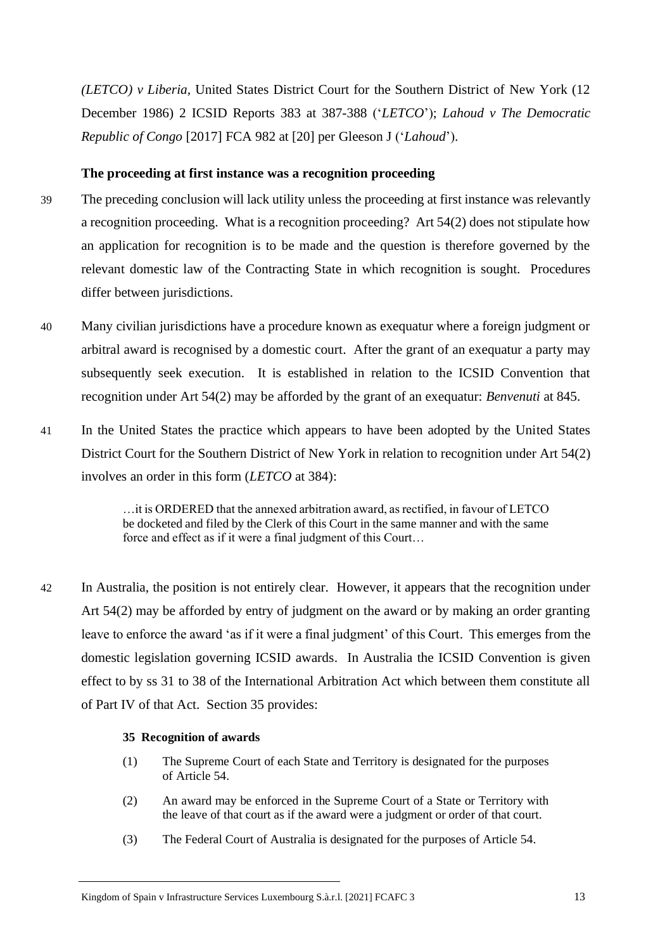*(LETCO) v Liberia,* United States District Court for the Southern District of New York (12 December 1986) 2 ICSID Reports 383 at 387-388 ('*LETCO*'); *Lahoud v The Democratic Republic of Congo* [2017] FCA 982 at [20] per Gleeson J ('*Lahoud*').

## **The proceeding at first instance was a recognition proceeding**

- 39 The preceding conclusion will lack utility unless the proceeding at first instance was relevantly a recognition proceeding. What is a recognition proceeding? Art 54(2) does not stipulate how an application for recognition is to be made and the question is therefore governed by the relevant domestic law of the Contracting State in which recognition is sought. Procedures differ between jurisdictions.
	- 40 Many civilian jurisdictions have a procedure known as exequatur where a foreign judgment or arbitral award is recognised by a domestic court. After the grant of an exequatur a party may subsequently seek execution. It is established in relation to the ICSID Convention that recognition under Art 54(2) may be afforded by the grant of an exequatur: *Benvenuti* at 845.
	- 41 In the United States the practice which appears to have been adopted by the United States District Court for the Southern District of New York in relation to recognition under Art 54(2) involves an order in this form (*LETCO* at 384):

…it is ORDERED that the annexed arbitration award, as rectified, in favour of LETCO be docketed and filed by the Clerk of this Court in the same manner and with the same force and effect as if it were a final judgment of this Court…

42 In Australia, the position is not entirely clear. However, it appears that the recognition under Art 54(2) may be afforded by entry of judgment on the award or by making an order granting leave to enforce the award 'as if it were a final judgment' of this Court. This emerges from the domestic legislation governing ICSID awards. In Australia the ICSID Convention is given effect to by ss 31 to 38 of the International Arbitration Act which between them constitute all of Part IV of that Act. Section 35 provides:

#### **35 Recognition of awards**

- (1) The Supreme Court of each State and Territory is designated for the purposes of Article 54.
- (2) An award may be enforced in the Supreme Court of a State or Territory with the leave of that court as if the award were a judgment or order of that court.
- (3) The Federal Court of Australia is designated for the purposes of Article 54.

Kingdom of Spain v Infrastructure Services Luxembourg S.à.r.l. [2021] FCAFC 3 13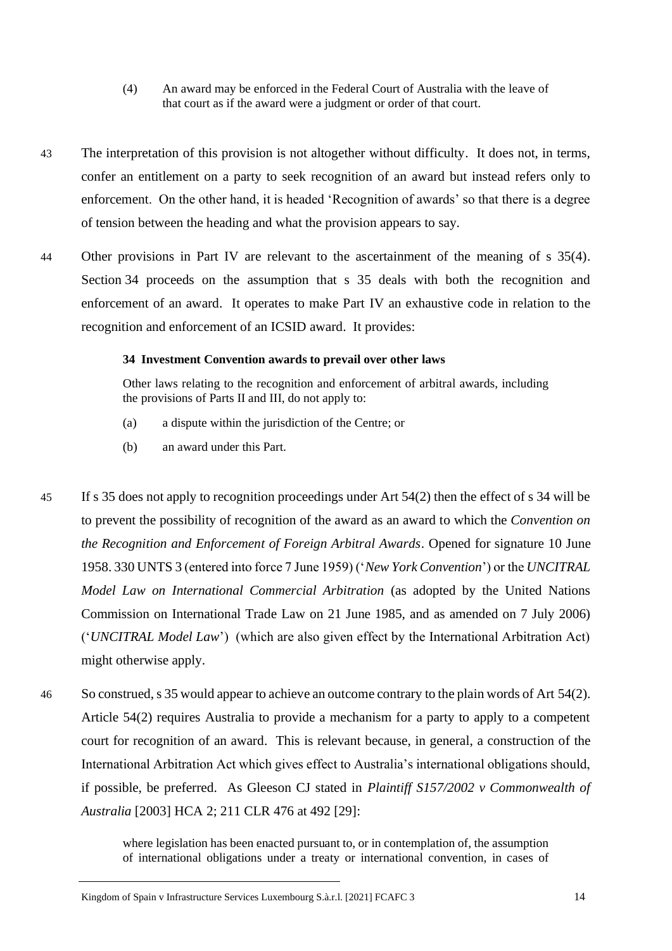- (4) An award may be enforced in the Federal Court of Australia with the leave of that court as if the award were a judgment or order of that court.
- 43 The interpretation of this provision is not altogether without difficulty. It does not, in terms, confer an entitlement on a party to seek recognition of an award but instead refers only to enforcement. On the other hand, it is headed 'Recognition of awards' so that there is a degree of tension between the heading and what the provision appears to say.
- 44 Other provisions in Part IV are relevant to the ascertainment of the meaning of s 35(4). Section 34 proceeds on the assumption that s 35 deals with both the recognition and enforcement of an award. It operates to make Part IV an exhaustive code in relation to the recognition and enforcement of an ICSID award. It provides:

#### **34 Investment Convention awards to prevail over other laws**

Other laws relating to the recognition and enforcement of arbitral awards, including the provisions of Parts II and III, do not apply to:

- (a) a dispute within the jurisdiction of the Centre; or
- (b) an award under this Part.
- 45 If s 35 does not apply to recognition proceedings under Art 54(2) then the effect of s 34 will be to prevent the possibility of recognition of the award as an award to which the *Convention on the Recognition and Enforcement of Foreign Arbitral Awards*. Opened for signature 10 June 1958. 330 UNTS 3 (entered into force 7 June 1959) ('*New York Convention*') or the *UNCITRAL Model Law on International Commercial Arbitration* (as adopted by the United Nations Commission on International Trade Law on 21 June 1985, and as amended on 7 July 2006) ('*UNCITRAL Model Law*') (which are also given effect by the International Arbitration Act) might otherwise apply.
- 46 So construed, s 35 would appear to achieve an outcome contrary to the plain words of Art 54(2). Article 54(2) requires Australia to provide a mechanism for a party to apply to a competent court for recognition of an award. This is relevant because, in general, a construction of the International Arbitration Act which gives effect to Australia's international obligations should, if possible, be preferred. As Gleeson CJ stated in *Plaintiff S157/2002 v Commonwealth of Australia* [2003] HCA 2; 211 CLR 476 at 492 [29]:

where legislation has been enacted pursuant to, or in contemplation of, the assumption of international obligations under a treaty or international convention, in cases of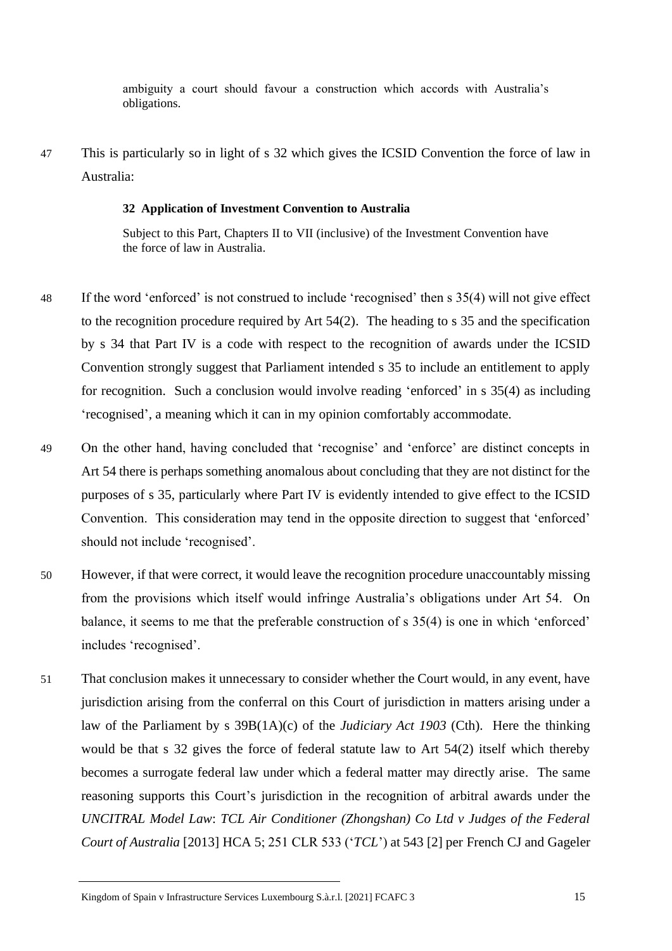ambiguity a court should favour a construction which accords with Australia's obligations.

47 This is particularly so in light of s 32 which gives the ICSID Convention the force of law in Australia:

#### **32 Application of Investment Convention to Australia**

Subject to this Part, Chapters II to VII (inclusive) of the Investment Convention have the force of law in Australia.

- 48 If the word 'enforced' is not construed to include 'recognised' then s 35(4) will not give effect to the recognition procedure required by Art 54(2). The heading to s 35 and the specification by s 34 that Part IV is a code with respect to the recognition of awards under the ICSID Convention strongly suggest that Parliament intended s 35 to include an entitlement to apply for recognition. Such a conclusion would involve reading 'enforced' in s 35(4) as including 'recognised', a meaning which it can in my opinion comfortably accommodate.
- 49 On the other hand, having concluded that 'recognise' and 'enforce' are distinct concepts in Art 54 there is perhaps something anomalous about concluding that they are not distinct for the purposes of s 35, particularly where Part IV is evidently intended to give effect to the ICSID Convention. This consideration may tend in the opposite direction to suggest that 'enforced' should not include 'recognised'.
- 50 However, if that were correct, it would leave the recognition procedure unaccountably missing from the provisions which itself would infringe Australia's obligations under Art 54. On balance, it seems to me that the preferable construction of s 35(4) is one in which 'enforced' includes 'recognised'.
- 51 That conclusion makes it unnecessary to consider whether the Court would, in any event, have jurisdiction arising from the conferral on this Court of jurisdiction in matters arising under a law of the Parliament by s 39B(1A)(c) of the *Judiciary Act 1903* (Cth). Here the thinking would be that s 32 gives the force of federal statute law to Art 54(2) itself which thereby becomes a surrogate federal law under which a federal matter may directly arise. The same reasoning supports this Court's jurisdiction in the recognition of arbitral awards under the *UNCITRAL Model Law*: *TCL Air Conditioner (Zhongshan) Co Ltd v Judges of the Federal Court of Australia* [2013] HCA 5; 251 CLR 533 ('*TCL*') at 543 [2] per French CJ and Gageler

Kingdom of Spain v Infrastructure Services Luxembourg S.à.r.l. [2021] FCAFC 3 15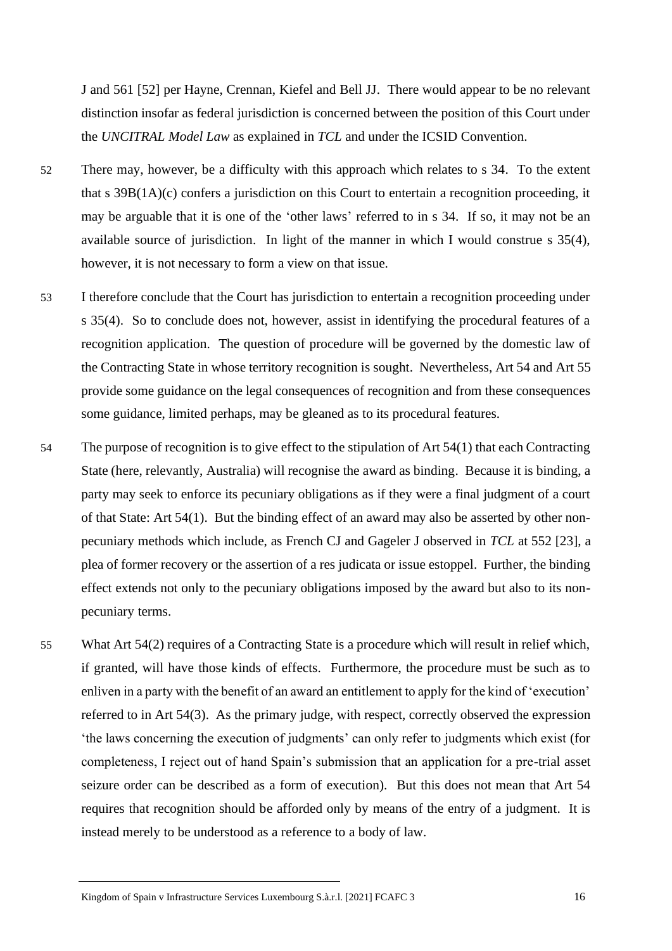J and 561 [52] per Hayne, Crennan, Kiefel and Bell JJ. There would appear to be no relevant distinction insofar as federal jurisdiction is concerned between the position of this Court under the *UNCITRAL Model Law* as explained in *TCL* and under the ICSID Convention.

- 52 There may, however, be a difficulty with this approach which relates to s 34. To the extent that s  $39B(1A)(c)$  confers a jurisdiction on this Court to entertain a recognition proceeding, it may be arguable that it is one of the 'other laws' referred to in s 34. If so, it may not be an available source of jurisdiction. In light of the manner in which I would construe s 35(4), however, it is not necessary to form a view on that issue.
- 53 I therefore conclude that the Court has jurisdiction to entertain a recognition proceeding under s 35(4). So to conclude does not, however, assist in identifying the procedural features of a recognition application. The question of procedure will be governed by the domestic law of the Contracting State in whose territory recognition is sought. Nevertheless, Art 54 and Art 55 provide some guidance on the legal consequences of recognition and from these consequences some guidance, limited perhaps, may be gleaned as to its procedural features.
- 54 The purpose of recognition is to give effect to the stipulation of Art 54(1) that each Contracting State (here, relevantly, Australia) will recognise the award as binding. Because it is binding, a party may seek to enforce its pecuniary obligations as if they were a final judgment of a court of that State: Art 54(1). But the binding effect of an award may also be asserted by other nonpecuniary methods which include, as French CJ and Gageler J observed in *TCL* at 552 [23], a plea of former recovery or the assertion of a res judicata or issue estoppel. Further, the binding effect extends not only to the pecuniary obligations imposed by the award but also to its nonpecuniary terms.
- 55 What Art 54(2) requires of a Contracting State is a procedure which will result in relief which, if granted, will have those kinds of effects. Furthermore, the procedure must be such as to enliven in a party with the benefit of an award an entitlement to apply for the kind of 'execution' referred to in Art 54(3). As the primary judge, with respect, correctly observed the expression 'the laws concerning the execution of judgments' can only refer to judgments which exist (for completeness, I reject out of hand Spain's submission that an application for a pre-trial asset seizure order can be described as a form of execution). But this does not mean that Art 54 requires that recognition should be afforded only by means of the entry of a judgment. It is instead merely to be understood as a reference to a body of law.

Kingdom of Spain v Infrastructure Services Luxembourg S.à.r.l. [2021] FCAFC 3 16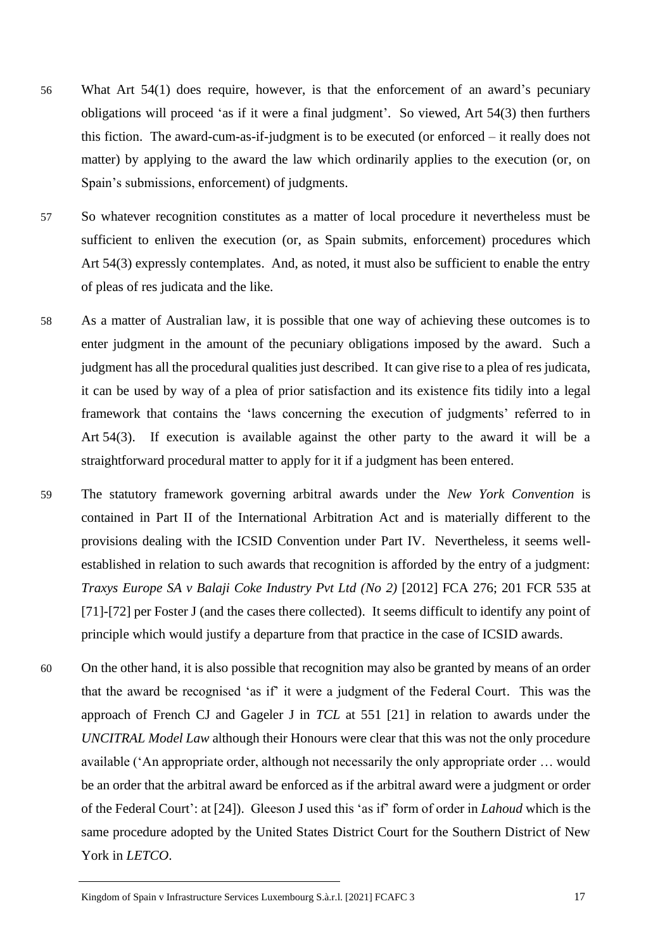- 56 What Art 54(1) does require, however, is that the enforcement of an award's pecuniary obligations will proceed 'as if it were a final judgment'. So viewed, Art 54(3) then furthers this fiction. The award-cum-as-if-judgment is to be executed (or enforced – it really does not matter) by applying to the award the law which ordinarily applies to the execution (or, on Spain's submissions, enforcement) of judgments.
- 57 So whatever recognition constitutes as a matter of local procedure it nevertheless must be sufficient to enliven the execution (or, as Spain submits, enforcement) procedures which Art 54(3) expressly contemplates. And, as noted, it must also be sufficient to enable the entry of pleas of res judicata and the like.
- 58 As a matter of Australian law, it is possible that one way of achieving these outcomes is to enter judgment in the amount of the pecuniary obligations imposed by the award. Such a judgment has all the procedural qualities just described. It can give rise to a plea of res judicata, it can be used by way of a plea of prior satisfaction and its existence fits tidily into a legal framework that contains the 'laws concerning the execution of judgments' referred to in Art 54(3). If execution is available against the other party to the award it will be a straightforward procedural matter to apply for it if a judgment has been entered.
- 59 The statutory framework governing arbitral awards under the *New York Convention* is contained in Part II of the International Arbitration Act and is materially different to the provisions dealing with the ICSID Convention under Part IV. Nevertheless, it seems wellestablished in relation to such awards that recognition is afforded by the entry of a judgment: *Traxys Europe SA v Balaji Coke Industry Pvt Ltd (No 2)* [2012] FCA 276; 201 FCR 535 at [71]-[72] per Foster J (and the cases there collected). It seems difficult to identify any point of principle which would justify a departure from that practice in the case of ICSID awards.
- 60 On the other hand, it is also possible that recognition may also be granted by means of an order that the award be recognised 'as if' it were a judgment of the Federal Court. This was the approach of French CJ and Gageler J in *TCL* at 551 [21] in relation to awards under the *UNCITRAL Model Law* although their Honours were clear that this was not the only procedure available ('An appropriate order, although not necessarily the only appropriate order … would be an order that the arbitral award be enforced as if the arbitral award were a judgment or order of the Federal Court': at [24]). Gleeson J used this 'as if' form of order in *Lahoud* which is the same procedure adopted by the United States District Court for the Southern District of New York in *LETCO*.

Kingdom of Spain v Infrastructure Services Luxembourg S.à.r.l. [2021] FCAFC 3 17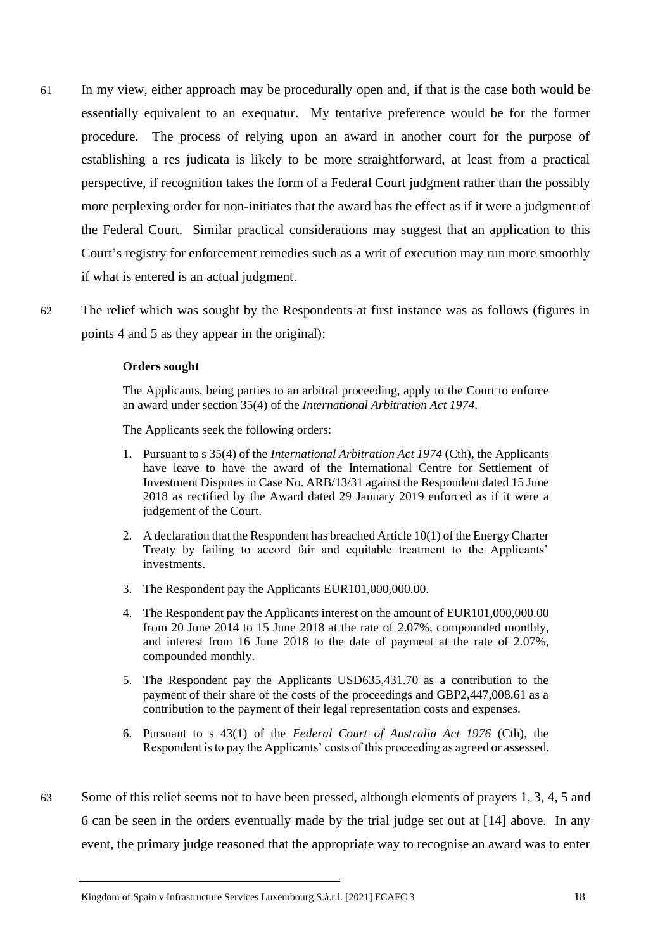- 61 In my view, either approach may be procedurally open and, if that is the case both would be essentially equivalent to an exequatur. My tentative preference would be for the former procedure. The process of relying upon an award in another court for the purpose of establishing a res judicata is likely to be more straightforward, at least from a practical perspective, if recognition takes the form of a Federal Court judgment rather than the possibly more perplexing order for non-initiates that the award has the effect as if it were a judgment of the Federal Court. Similar practical considerations may suggest that an application to this Court's registry for enforcement remedies such as a writ of execution may run more smoothly if what is entered is an actual judgment.
- 62 The relief which was sought by the Respondents at first instance was as follows (figures in points 4 and 5 as they appear in the original):

#### **Orders sought**

The Applicants, being parties to an arbitral proceeding, apply to the Court to enforce an award under section 35(4) of the *International Arbitration Act 1974*.

The Applicants seek the following orders:

- 1. Pursuant to s 35(4) of the *International Arbitration Act 1974* (Cth), the Applicants have leave to have the award of the International Centre for Settlement of Investment Disputes in Case No. ARB/13/31 against the Respondent dated 15 June 2018 as rectified by the Award dated 29 January 2019 enforced as if it were a judgement of the Court.
- 2. A declaration that the Respondent has breached Article 10(1) of the Energy Charter Treaty by failing to accord fair and equitable treatment to the Applicants' investments.
- 3. The Respondent pay the Applicants EUR101,000,000.00.
- 4. The Respondent pay the Applicants interest on the amount of EUR101,000,000.00 from 20 June 2014 to 15 June 2018 at the rate of 2.07%, compounded monthly, and interest from 16 June 2018 to the date of payment at the rate of 2.07%, compounded monthly.
- 5. The Respondent pay the Applicants USD635,431.70 as a contribution to the payment of their share of the costs of the proceedings and GBP2,447,008.61 as a contribution to the payment of their legal representation costs and expenses.
- 6. Pursuant to s 43(1) of the *Federal Court of Australia Act 1976* (Cth), the Respondent is to pay the Applicants' costs of this proceeding as agreed or assessed.
- 63 Some of this relief seems not to have been pressed, although elements of prayers 1, 3, 4, 5 and 6 can be seen in the orders eventually made by the trial judge set out at [14] above. In any event, the primary judge reasoned that the appropriate way to recognise an award was to enter

Kingdom of Spain v Infrastructure Services Luxembourg S.à.r.l. [2021] FCAFC 3 18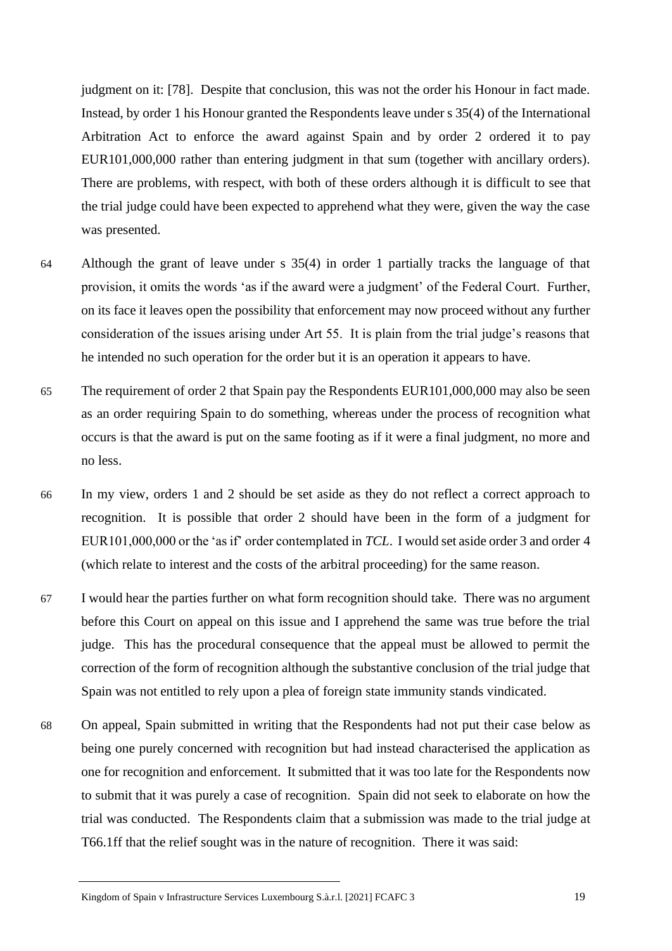judgment on it: [78]. Despite that conclusion, this was not the order his Honour in fact made. Instead, by order 1 his Honour granted the Respondents leave under s 35(4) of the International Arbitration Act to enforce the award against Spain and by order 2 ordered it to pay EUR101,000,000 rather than entering judgment in that sum (together with ancillary orders). There are problems, with respect, with both of these orders although it is difficult to see that the trial judge could have been expected to apprehend what they were, given the way the case was presented.

- 64 Although the grant of leave under s 35(4) in order 1 partially tracks the language of that provision, it omits the words 'as if the award were a judgment' of the Federal Court. Further, on its face it leaves open the possibility that enforcement may now proceed without any further consideration of the issues arising under Art 55. It is plain from the trial judge's reasons that he intended no such operation for the order but it is an operation it appears to have.
- 65 The requirement of order 2 that Spain pay the Respondents EUR101,000,000 may also be seen as an order requiring Spain to do something, whereas under the process of recognition what occurs is that the award is put on the same footing as if it were a final judgment, no more and no less.
- 66 In my view, orders 1 and 2 should be set aside as they do not reflect a correct approach to recognition. It is possible that order 2 should have been in the form of a judgment for EUR101,000,000 or the 'as if' order contemplated in *TCL*. I would set aside order 3 and order 4 (which relate to interest and the costs of the arbitral proceeding) for the same reason.
- 67 I would hear the parties further on what form recognition should take. There was no argument before this Court on appeal on this issue and I apprehend the same was true before the trial judge. This has the procedural consequence that the appeal must be allowed to permit the correction of the form of recognition although the substantive conclusion of the trial judge that Spain was not entitled to rely upon a plea of foreign state immunity stands vindicated.
- 68 On appeal, Spain submitted in writing that the Respondents had not put their case below as being one purely concerned with recognition but had instead characterised the application as one for recognition and enforcement. It submitted that it was too late for the Respondents now to submit that it was purely a case of recognition. Spain did not seek to elaborate on how the trial was conducted. The Respondents claim that a submission was made to the trial judge at T66.1ff that the relief sought was in the nature of recognition. There it was said:

Kingdom of Spain v Infrastructure Services Luxembourg S.à.r.l. [2021] FCAFC 3 19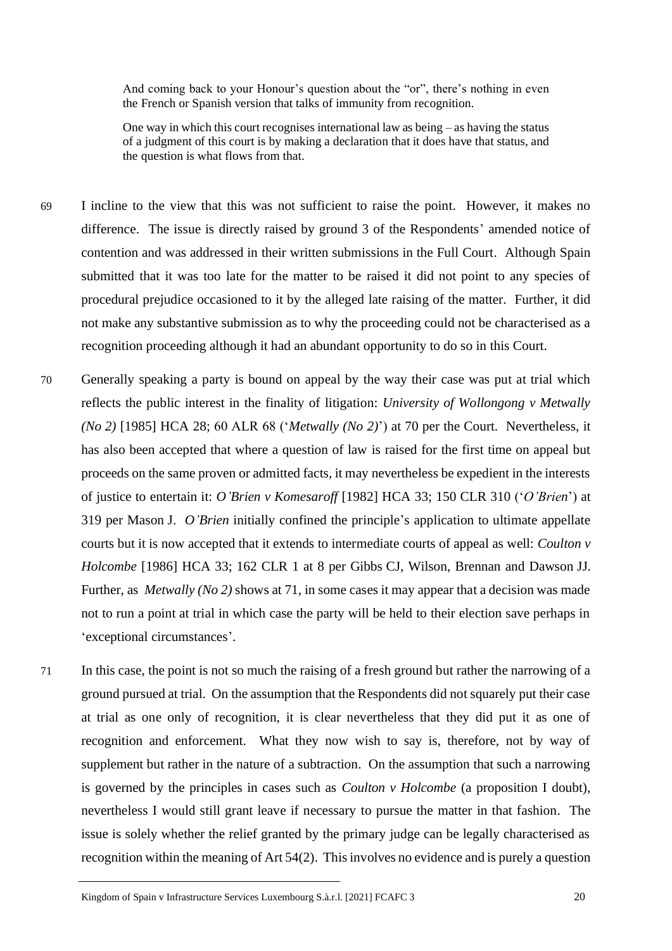And coming back to your Honour's question about the "or", there's nothing in even the French or Spanish version that talks of immunity from recognition.

One way in which this court recognises international law as being  $-\alpha s$  having the status of a judgment of this court is by making a declaration that it does have that status, and the question is what flows from that.

- 69 I incline to the view that this was not sufficient to raise the point. However, it makes no difference. The issue is directly raised by ground 3 of the Respondents' amended notice of contention and was addressed in their written submissions in the Full Court. Although Spain submitted that it was too late for the matter to be raised it did not point to any species of procedural prejudice occasioned to it by the alleged late raising of the matter. Further, it did not make any substantive submission as to why the proceeding could not be characterised as a recognition proceeding although it had an abundant opportunity to do so in this Court.
- 70 Generally speaking a party is bound on appeal by the way their case was put at trial which reflects the public interest in the finality of litigation: *University of Wollongong v Metwally (No 2)* [1985] HCA 28; 60 ALR 68 ('*Metwally (No 2)*') at 70 per the Court. Nevertheless, it has also been accepted that where a question of law is raised for the first time on appeal but proceeds on the same proven or admitted facts, it may nevertheless be expedient in the interests of justice to entertain it: *O'Brien v Komesaroff* [1982] HCA 33; 150 CLR 310 ('*O'Brien*') at 319 per Mason J. *O'Brien* initially confined the principle's application to ultimate appellate courts but it is now accepted that it extends to intermediate courts of appeal as well: *Coulton v Holcombe* [1986] HCA 33; 162 CLR 1 at 8 per Gibbs CJ, Wilson, Brennan and Dawson JJ. Further, as *Metwally (No 2)* shows at 71, in some cases it may appear that a decision was made not to run a point at trial in which case the party will be held to their election save perhaps in 'exceptional circumstances'.
- 71 In this case, the point is not so much the raising of a fresh ground but rather the narrowing of a ground pursued at trial. On the assumption that the Respondents did not squarely put their case at trial as one only of recognition, it is clear nevertheless that they did put it as one of recognition and enforcement. What they now wish to say is, therefore, not by way of supplement but rather in the nature of a subtraction. On the assumption that such a narrowing is governed by the principles in cases such as *Coulton v Holcombe* (a proposition I doubt), nevertheless I would still grant leave if necessary to pursue the matter in that fashion. The issue is solely whether the relief granted by the primary judge can be legally characterised as recognition within the meaning of Art 54(2). This involves no evidence and is purely a question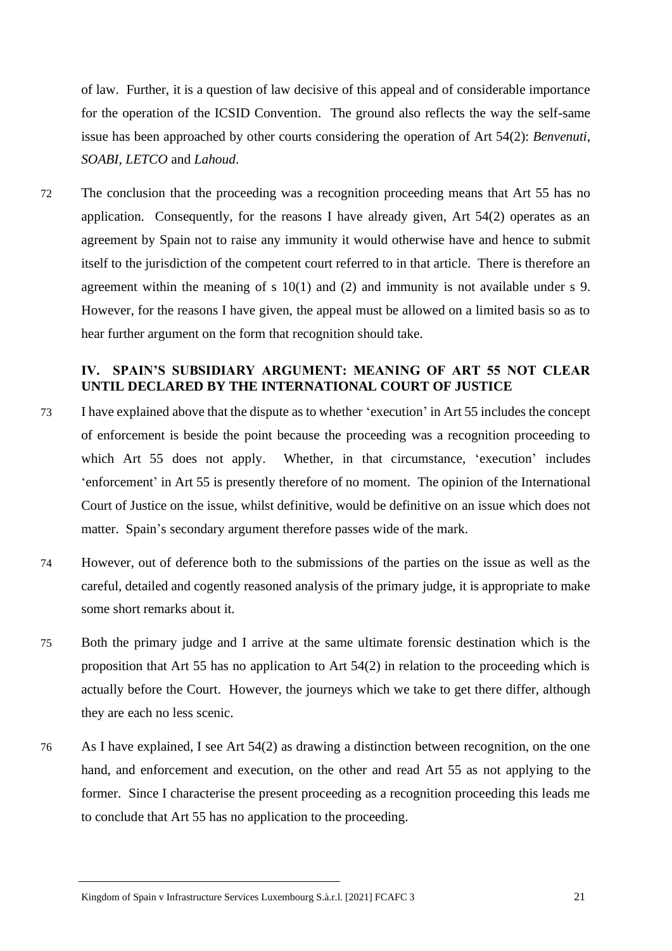of law. Further, it is a question of law decisive of this appeal and of considerable importance for the operation of the ICSID Convention. The ground also reflects the way the self-same issue has been approached by other courts considering the operation of Art 54(2): *Benvenuti*, *SOABI*, *LETCO* and *Lahoud*.

72 The conclusion that the proceeding was a recognition proceeding means that Art 55 has no application. Consequently, for the reasons I have already given, Art 54(2) operates as an agreement by Spain not to raise any immunity it would otherwise have and hence to submit itself to the jurisdiction of the competent court referred to in that article. There is therefore an agreement within the meaning of s 10(1) and (2) and immunity is not available under s 9. However, for the reasons I have given, the appeal must be allowed on a limited basis so as to hear further argument on the form that recognition should take.

## **IV. SPAIN'S SUBSIDIARY ARGUMENT: MEANING OF ART 55 NOT CLEAR UNTIL DECLARED BY THE INTERNATIONAL COURT OF JUSTICE**

- 73 I have explained above that the dispute as to whether 'execution' in Art 55 includes the concept of enforcement is beside the point because the proceeding was a recognition proceeding to which Art 55 does not apply. Whether, in that circumstance, 'execution' includes 'enforcement' in Art 55 is presently therefore of no moment. The opinion of the International Court of Justice on the issue, whilst definitive, would be definitive on an issue which does not matter. Spain's secondary argument therefore passes wide of the mark.
- 74 However, out of deference both to the submissions of the parties on the issue as well as the careful, detailed and cogently reasoned analysis of the primary judge, it is appropriate to make some short remarks about it.
- 75 Both the primary judge and I arrive at the same ultimate forensic destination which is the proposition that Art 55 has no application to Art 54(2) in relation to the proceeding which is actually before the Court. However, the journeys which we take to get there differ, although they are each no less scenic.
- 76 As I have explained, I see Art 54(2) as drawing a distinction between recognition, on the one hand, and enforcement and execution, on the other and read Art 55 as not applying to the former. Since I characterise the present proceeding as a recognition proceeding this leads me to conclude that Art 55 has no application to the proceeding.

Kingdom of Spain v Infrastructure Services Luxembourg S.à.r.l. [2021] FCAFC 3 21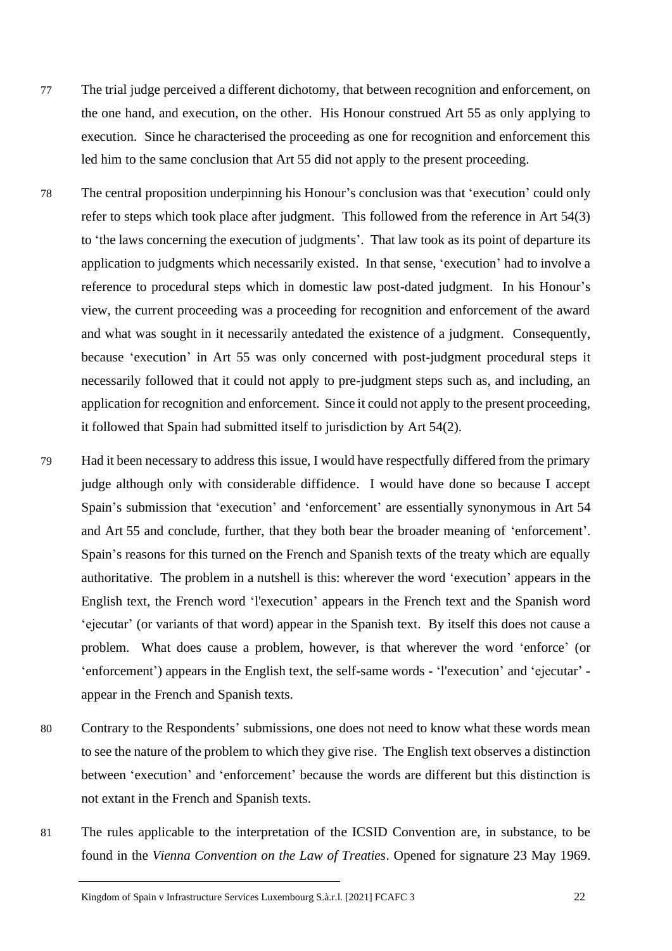- 77 The trial judge perceived a different dichotomy, that between recognition and enforcement, on the one hand, and execution, on the other. His Honour construed Art 55 as only applying to execution. Since he characterised the proceeding as one for recognition and enforcement this led him to the same conclusion that Art 55 did not apply to the present proceeding.
- 78 The central proposition underpinning his Honour's conclusion was that 'execution' could only refer to steps which took place after judgment. This followed from the reference in Art 54(3) to 'the laws concerning the execution of judgments'. That law took as its point of departure its application to judgments which necessarily existed. In that sense, 'execution' had to involve a reference to procedural steps which in domestic law post-dated judgment. In his Honour's view, the current proceeding was a proceeding for recognition and enforcement of the award and what was sought in it necessarily antedated the existence of a judgment. Consequently, because 'execution' in Art 55 was only concerned with post-judgment procedural steps it necessarily followed that it could not apply to pre-judgment steps such as, and including, an application for recognition and enforcement. Since it could not apply to the present proceeding, it followed that Spain had submitted itself to jurisdiction by Art 54(2).
- 79 Had it been necessary to address this issue, I would have respectfully differed from the primary judge although only with considerable diffidence. I would have done so because I accept Spain's submission that 'execution' and 'enforcement' are essentially synonymous in Art 54 and Art 55 and conclude, further, that they both bear the broader meaning of 'enforcement'. Spain's reasons for this turned on the French and Spanish texts of the treaty which are equally authoritative. The problem in a nutshell is this: wherever the word 'execution' appears in the English text, the French word 'l'execution' appears in the French text and the Spanish word 'ejecutar' (or variants of that word) appear in the Spanish text. By itself this does not cause a problem. What does cause a problem, however, is that wherever the word 'enforce' (or 'enforcement') appears in the English text, the self-same words - 'l'execution' and 'ejecutar' appear in the French and Spanish texts.
- 80 Contrary to the Respondents' submissions, one does not need to know what these words mean to see the nature of the problem to which they give rise. The English text observes a distinction between 'execution' and 'enforcement' because the words are different but this distinction is not extant in the French and Spanish texts.
- 81 The rules applicable to the interpretation of the ICSID Convention are, in substance, to be found in the *Vienna Convention on the Law of Treaties*. Opened for signature 23 May 1969.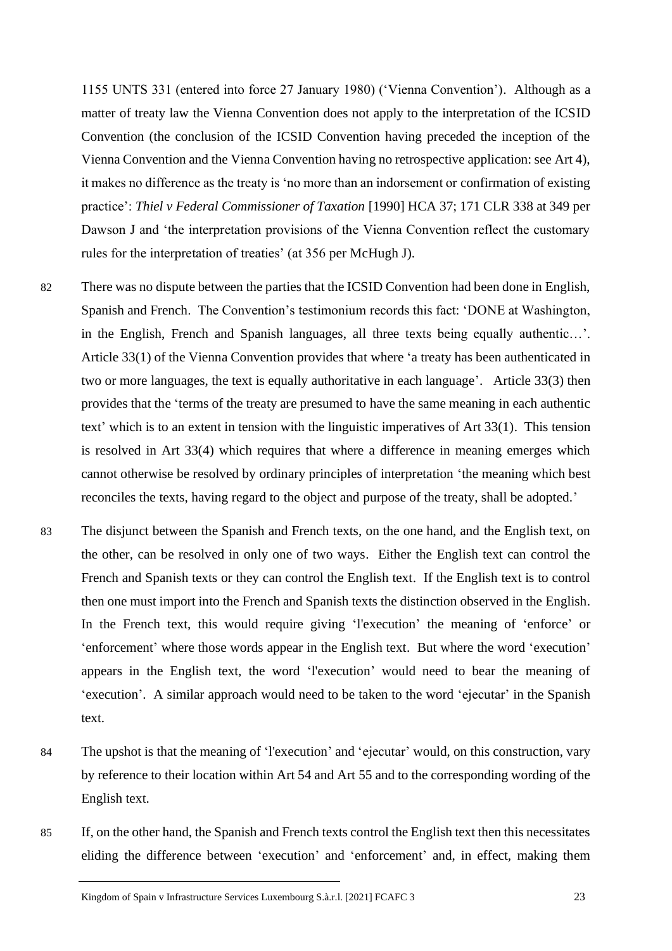1155 UNTS 331 (entered into force 27 January 1980) ('Vienna Convention'). Although as a matter of treaty law the Vienna Convention does not apply to the interpretation of the ICSID Convention (the conclusion of the ICSID Convention having preceded the inception of the Vienna Convention and the Vienna Convention having no retrospective application: see Art 4), it makes no difference as the treaty is 'no more than an indorsement or confirmation of existing practice': *Thiel v Federal Commissioner of Taxation* [1990] HCA 37; 171 CLR 338 at 349 per Dawson J and 'the interpretation provisions of the Vienna Convention reflect the customary rules for the interpretation of treaties' (at 356 per McHugh J).

- 82 There was no dispute between the parties that the ICSID Convention had been done in English, Spanish and French. The Convention's testimonium records this fact: 'DONE at Washington, in the English, French and Spanish languages, all three texts being equally authentic…'. Article 33(1) of the Vienna Convention provides that where 'a treaty has been authenticated in two or more languages, the text is equally authoritative in each language'. Article 33(3) then provides that the 'terms of the treaty are presumed to have the same meaning in each authentic text' which is to an extent in tension with the linguistic imperatives of Art 33(1). This tension is resolved in Art 33(4) which requires that where a difference in meaning emerges which cannot otherwise be resolved by ordinary principles of interpretation 'the meaning which best reconciles the texts, having regard to the object and purpose of the treaty, shall be adopted.'
- 83 The disjunct between the Spanish and French texts, on the one hand, and the English text, on the other, can be resolved in only one of two ways. Either the English text can control the French and Spanish texts or they can control the English text. If the English text is to control then one must import into the French and Spanish texts the distinction observed in the English. In the French text, this would require giving 'l'execution' the meaning of 'enforce' or 'enforcement' where those words appear in the English text. But where the word 'execution' appears in the English text, the word 'l'execution' would need to bear the meaning of 'execution'. A similar approach would need to be taken to the word 'ejecutar' in the Spanish text.
- 84 The upshot is that the meaning of 'l'execution' and 'ejecutar' would, on this construction, vary by reference to their location within Art 54 and Art 55 and to the corresponding wording of the English text.
- 85 If, on the other hand, the Spanish and French texts control the English text then this necessitates eliding the difference between 'execution' and 'enforcement' and, in effect, making them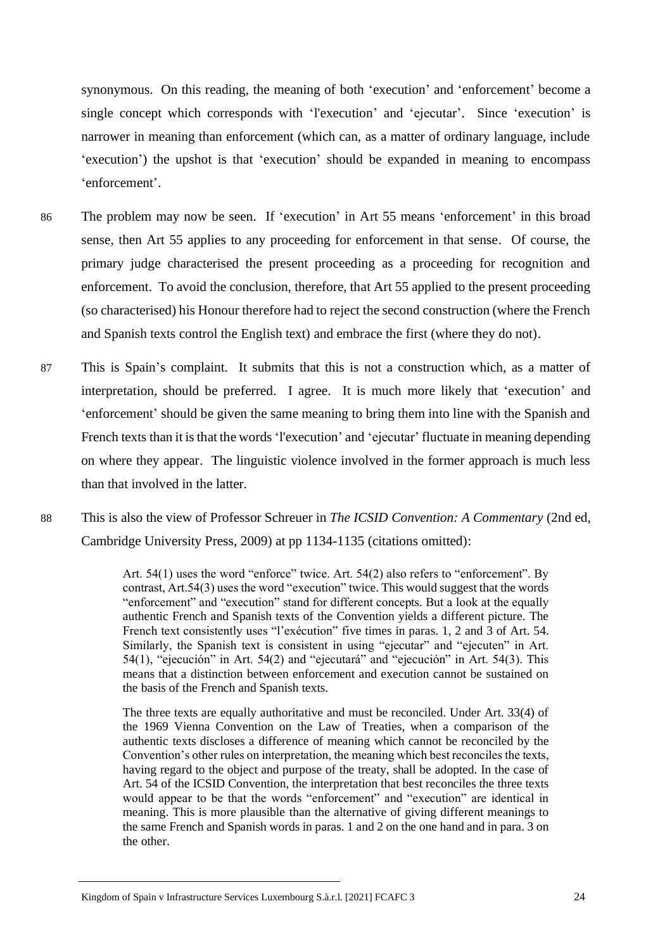synonymous. On this reading, the meaning of both 'execution' and 'enforcement' become a single concept which corresponds with 'l'execution' and 'ejecutar'. Since 'execution' is narrower in meaning than enforcement (which can, as a matter of ordinary language, include 'execution') the upshot is that 'execution' should be expanded in meaning to encompass 'enforcement'.

- 86 The problem may now be seen. If 'execution' in Art 55 means 'enforcement' in this broad sense, then Art 55 applies to any proceeding for enforcement in that sense. Of course, the primary judge characterised the present proceeding as a proceeding for recognition and enforcement. To avoid the conclusion, therefore, that Art 55 applied to the present proceeding (so characterised) his Honour therefore had to reject the second construction (where the French and Spanish texts control the English text) and embrace the first (where they do not).
- 87 This is Spain's complaint. It submits that this is not a construction which, as a matter of interpretation, should be preferred. I agree. It is much more likely that 'execution' and 'enforcement' should be given the same meaning to bring them into line with the Spanish and French texts than it is that the words 'l'execution' and 'ejecutar' fluctuate in meaning depending on where they appear. The linguistic violence involved in the former approach is much less than that involved in the latter.
- 88 This is also the view of Professor Schreuer in *The ICSID Convention: A Commentary* (2nd ed, Cambridge University Press, 2009) at pp 1134-1135 (citations omitted):

Art. 54(1) uses the word "enforce" twice. Art. 54(2) also refers to "enforcement". By contrast, Art.54(3) uses the word "execution" twice. This would suggest that the words "enforcement" and "execution" stand for different concepts. But a look at the equally authentic French and Spanish texts of the Convention yields a different picture. The French text consistently uses "l'exécution" five times in paras. 1, 2 and 3 of Art. 54. Similarly, the Spanish text is consistent in using "ejecutar" and "ejecuten" in Art. 54(1), "ejecución" in Art. 54(2) and "ejecutará" and "ejecución" in Art. 54(3). This means that a distinction between enforcement and execution cannot be sustained on the basis of the French and Spanish texts.

The three texts are equally authoritative and must be reconciled. Under Art. 33(4) of the 1969 Vienna Convention on the Law of Treaties, when a comparison of the authentic texts discloses a difference of meaning which cannot be reconciled by the Convention's other rules on interpretation, the meaning which best reconciles the texts, having regard to the object and purpose of the treaty, shall be adopted. In the case of Art. 54 of the ICSID Convention, the interpretation that best reconciles the three texts would appear to be that the words "enforcement" and "execution" are identical in meaning. This is more plausible than the alternative of giving different meanings to the same French and Spanish words in paras. 1 and 2 on the one hand and in para. 3 on the other.

Kingdom of Spain v Infrastructure Services Luxembourg S.à.r.l. [2021] FCAFC 3 24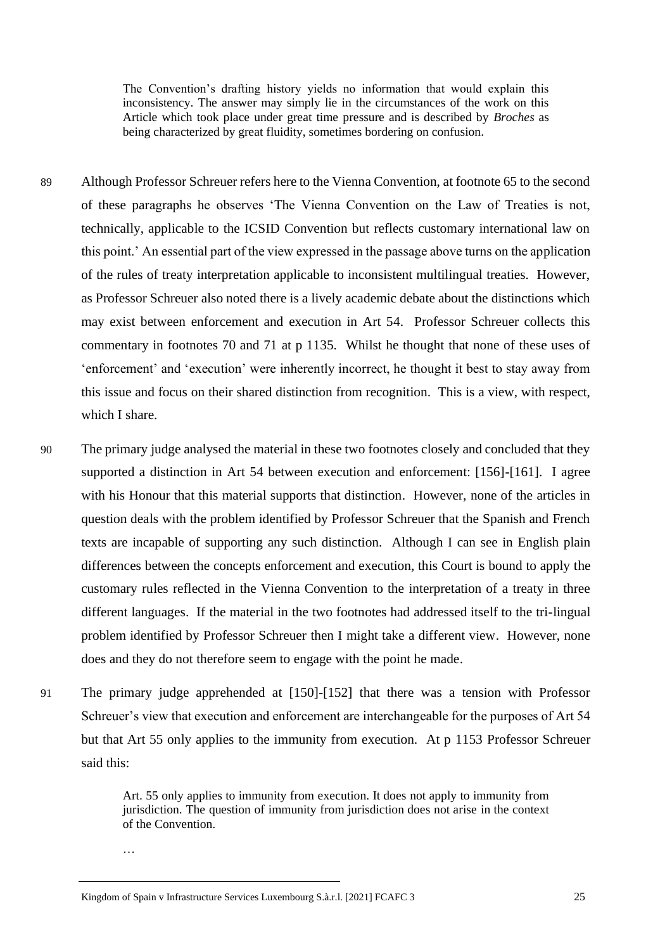The Convention's drafting history yields no information that would explain this inconsistency. The answer may simply lie in the circumstances of the work on this Article which took place under great time pressure and is described by *Broches* as being characterized by great fluidity, sometimes bordering on confusion.

- 89 Although Professor Schreuer refers here to the Vienna Convention, at footnote 65 to the second of these paragraphs he observes 'The Vienna Convention on the Law of Treaties is not, technically, applicable to the ICSID Convention but reflects customary international law on this point.' An essential part of the view expressed in the passage above turns on the application of the rules of treaty interpretation applicable to inconsistent multilingual treaties. However, as Professor Schreuer also noted there is a lively academic debate about the distinctions which may exist between enforcement and execution in Art 54. Professor Schreuer collects this commentary in footnotes 70 and 71 at p 1135. Whilst he thought that none of these uses of 'enforcement' and 'execution' were inherently incorrect, he thought it best to stay away from this issue and focus on their shared distinction from recognition. This is a view, with respect, which I share.
- 90 The primary judge analysed the material in these two footnotes closely and concluded that they supported a distinction in Art 54 between execution and enforcement: [156]-[161]. I agree with his Honour that this material supports that distinction. However, none of the articles in question deals with the problem identified by Professor Schreuer that the Spanish and French texts are incapable of supporting any such distinction. Although I can see in English plain differences between the concepts enforcement and execution, this Court is bound to apply the customary rules reflected in the Vienna Convention to the interpretation of a treaty in three different languages. If the material in the two footnotes had addressed itself to the tri-lingual problem identified by Professor Schreuer then I might take a different view. However, none does and they do not therefore seem to engage with the point he made.
- 91 The primary judge apprehended at [150]-[152] that there was a tension with Professor Schreuer's view that execution and enforcement are interchangeable for the purposes of Art 54 but that Art 55 only applies to the immunity from execution. At p 1153 Professor Schreuer said this:

Art. 55 only applies to immunity from execution. It does not apply to immunity from jurisdiction. The question of immunity from jurisdiction does not arise in the context of the Convention.

…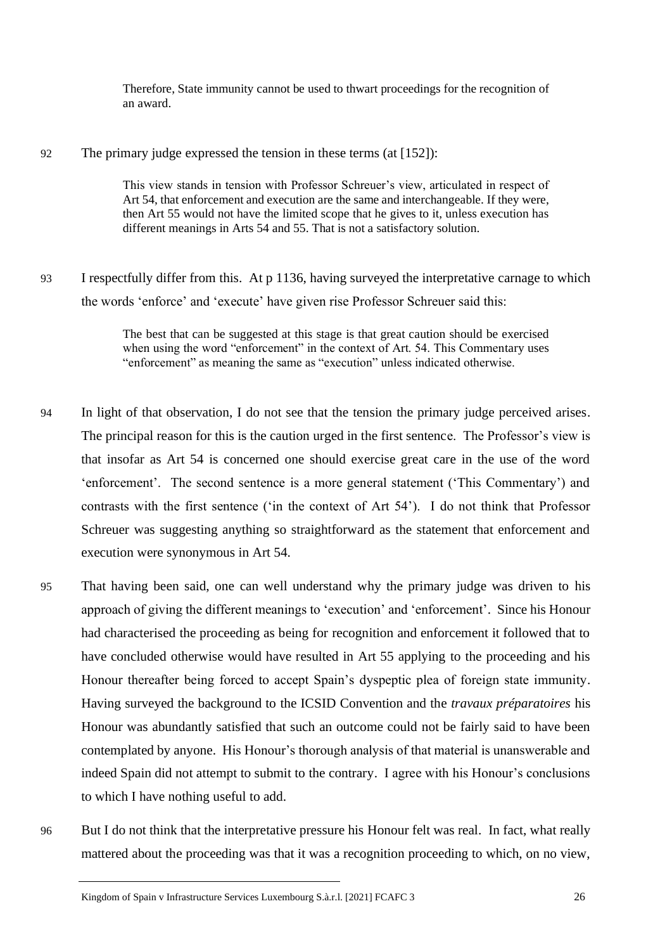Therefore, State immunity cannot be used to thwart proceedings for the recognition of an award.

#### 92 The primary judge expressed the tension in these terms (at [152]):

This view stands in tension with Professor Schreuer's view, articulated in respect of Art 54, that enforcement and execution are the same and interchangeable. If they were, then Art 55 would not have the limited scope that he gives to it, unless execution has different meanings in Arts 54 and 55. That is not a satisfactory solution.

93 I respectfully differ from this. At p 1136, having surveyed the interpretative carnage to which the words 'enforce' and 'execute' have given rise Professor Schreuer said this:

> The best that can be suggested at this stage is that great caution should be exercised when using the word "enforcement" in the context of Art. 54. This Commentary uses "enforcement" as meaning the same as "execution" unless indicated otherwise.

- 94 In light of that observation, I do not see that the tension the primary judge perceived arises. The principal reason for this is the caution urged in the first sentence. The Professor's view is that insofar as Art 54 is concerned one should exercise great care in the use of the word 'enforcement'. The second sentence is a more general statement ('This Commentary') and contrasts with the first sentence ('in the context of Art 54'). I do not think that Professor Schreuer was suggesting anything so straightforward as the statement that enforcement and execution were synonymous in Art 54.
- 95 That having been said, one can well understand why the primary judge was driven to his approach of giving the different meanings to 'execution' and 'enforcement'. Since his Honour had characterised the proceeding as being for recognition and enforcement it followed that to have concluded otherwise would have resulted in Art 55 applying to the proceeding and his Honour thereafter being forced to accept Spain's dyspeptic plea of foreign state immunity. Having surveyed the background to the ICSID Convention and the *travaux préparatoires* his Honour was abundantly satisfied that such an outcome could not be fairly said to have been contemplated by anyone. His Honour's thorough analysis of that material is unanswerable and indeed Spain did not attempt to submit to the contrary. I agree with his Honour's conclusions to which I have nothing useful to add.
- 96 But I do not think that the interpretative pressure his Honour felt was real. In fact, what really mattered about the proceeding was that it was a recognition proceeding to which, on no view,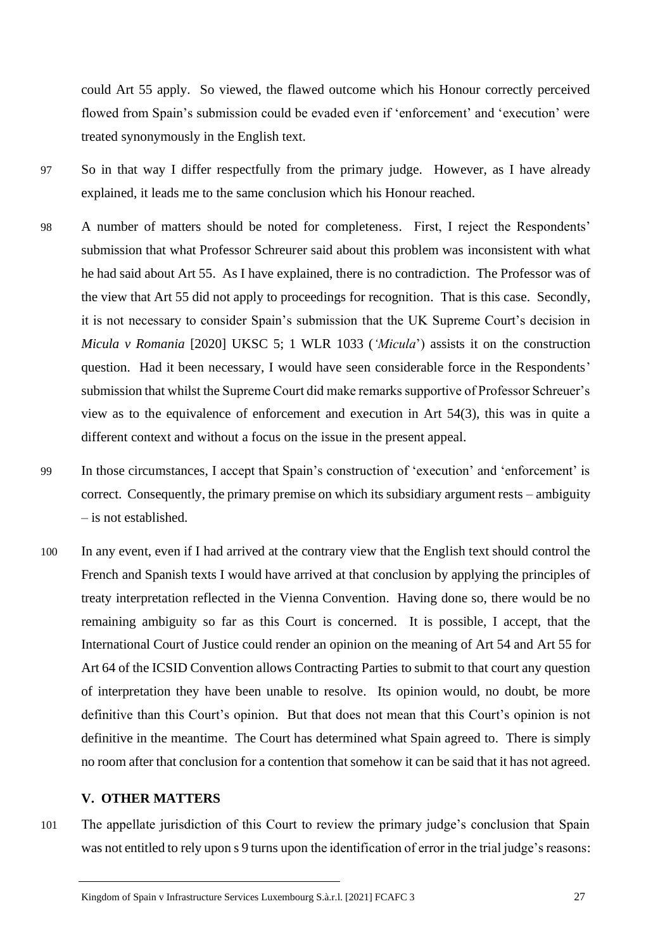could Art 55 apply. So viewed, the flawed outcome which his Honour correctly perceived flowed from Spain's submission could be evaded even if 'enforcement' and 'execution' were treated synonymously in the English text.

- 97 So in that way I differ respectfully from the primary judge. However, as I have already explained, it leads me to the same conclusion which his Honour reached.
- 98 A number of matters should be noted for completeness. First, I reject the Respondents' submission that what Professor Schreurer said about this problem was inconsistent with what he had said about Art 55. As I have explained, there is no contradiction. The Professor was of the view that Art 55 did not apply to proceedings for recognition. That is this case. Secondly, it is not necessary to consider Spain's submission that the UK Supreme Court's decision in *Micula v Romania* [2020] UKSC 5; 1 WLR 1033 (*'Micula*') assists it on the construction question. Had it been necessary, I would have seen considerable force in the Respondents' submission that whilst the Supreme Court did make remarks supportive of Professor Schreuer's view as to the equivalence of enforcement and execution in Art 54(3), this was in quite a different context and without a focus on the issue in the present appeal.
- 99 In those circumstances, I accept that Spain's construction of 'execution' and 'enforcement' is correct. Consequently, the primary premise on which its subsidiary argument rests – ambiguity – is not established.
- 100 In any event, even if I had arrived at the contrary view that the English text should control the French and Spanish texts I would have arrived at that conclusion by applying the principles of treaty interpretation reflected in the Vienna Convention. Having done so, there would be no remaining ambiguity so far as this Court is concerned. It is possible, I accept, that the International Court of Justice could render an opinion on the meaning of Art 54 and Art 55 for Art 64 of the ICSID Convention allows Contracting Parties to submit to that court any question of interpretation they have been unable to resolve. Its opinion would, no doubt, be more definitive than this Court's opinion. But that does not mean that this Court's opinion is not definitive in the meantime. The Court has determined what Spain agreed to. There is simply no room after that conclusion for a contention that somehow it can be said that it has not agreed.

#### **V. OTHER MATTERS**

101 The appellate jurisdiction of this Court to review the primary judge's conclusion that Spain was not entitled to rely upon s 9 turns upon the identification of error in the trial judge's reasons: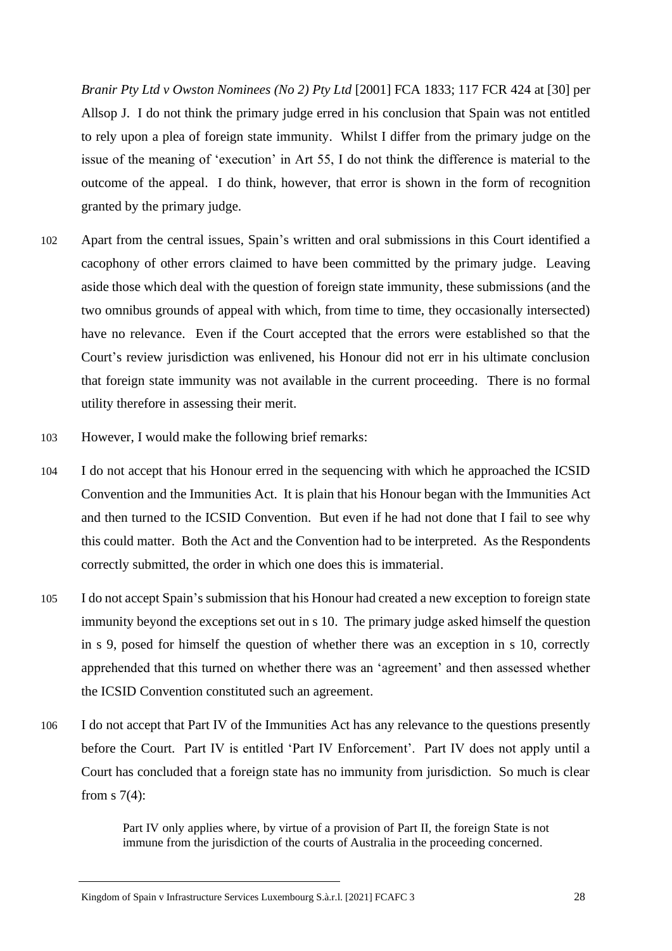*Branir Pty Ltd v Owston Nominees (No 2) Pty Ltd* [2001] FCA 1833; 117 FCR 424 at [30] per Allsop J. I do not think the primary judge erred in his conclusion that Spain was not entitled to rely upon a plea of foreign state immunity. Whilst I differ from the primary judge on the issue of the meaning of 'execution' in Art 55, I do not think the difference is material to the outcome of the appeal. I do think, however, that error is shown in the form of recognition granted by the primary judge.

- 102 Apart from the central issues, Spain's written and oral submissions in this Court identified a cacophony of other errors claimed to have been committed by the primary judge. Leaving aside those which deal with the question of foreign state immunity, these submissions (and the two omnibus grounds of appeal with which, from time to time, they occasionally intersected) have no relevance. Even if the Court accepted that the errors were established so that the Court's review jurisdiction was enlivened, his Honour did not err in his ultimate conclusion that foreign state immunity was not available in the current proceeding. There is no formal utility therefore in assessing their merit.
- 103 However, I would make the following brief remarks:
- 104 I do not accept that his Honour erred in the sequencing with which he approached the ICSID Convention and the Immunities Act. It is plain that his Honour began with the Immunities Act and then turned to the ICSID Convention. But even if he had not done that I fail to see why this could matter. Both the Act and the Convention had to be interpreted. As the Respondents correctly submitted, the order in which one does this is immaterial.
- 105 I do not accept Spain's submission that his Honour had created a new exception to foreign state immunity beyond the exceptions set out in s 10. The primary judge asked himself the question in s 9, posed for himself the question of whether there was an exception in s 10, correctly apprehended that this turned on whether there was an 'agreement' and then assessed whether the ICSID Convention constituted such an agreement.
- 106 I do not accept that Part IV of the Immunities Act has any relevance to the questions presently before the Court. Part IV is entitled 'Part IV Enforcement'. Part IV does not apply until a Court has concluded that a foreign state has no immunity from jurisdiction. So much is clear from  $s \, 7(4)$ :

Part IV only applies where, by virtue of a provision of Part II, the foreign State is not immune from the jurisdiction of the courts of Australia in the proceeding concerned.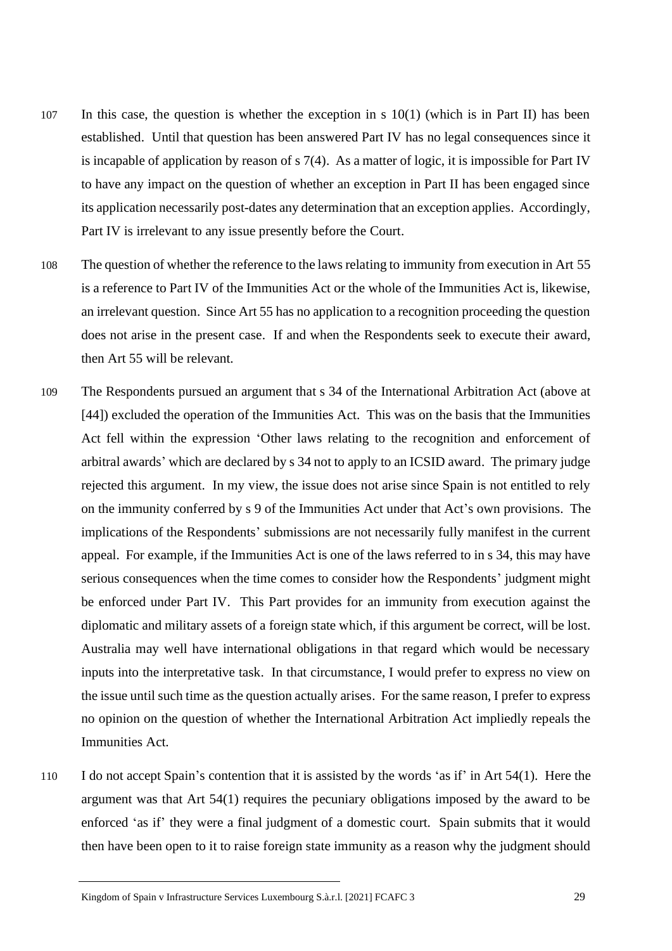- 107 In this case, the question is whether the exception in s 10(1) (which is in Part II) has been established. Until that question has been answered Part IV has no legal consequences since it is incapable of application by reason of s 7(4). As a matter of logic, it is impossible for Part IV to have any impact on the question of whether an exception in Part II has been engaged since its application necessarily post-dates any determination that an exception applies. Accordingly, Part IV is irrelevant to any issue presently before the Court.
- 108 The question of whether the reference to the laws relating to immunity from execution in Art 55 is a reference to Part IV of the Immunities Act or the whole of the Immunities Act is, likewise, an irrelevant question. Since Art 55 has no application to a recognition proceeding the question does not arise in the present case. If and when the Respondents seek to execute their award, then Art 55 will be relevant.
- 109 The Respondents pursued an argument that s 34 of the International Arbitration Act (above at [44]) excluded the operation of the Immunities Act. This was on the basis that the Immunities Act fell within the expression 'Other laws relating to the recognition and enforcement of arbitral awards' which are declared by s 34 not to apply to an ICSID award. The primary judge rejected this argument. In my view, the issue does not arise since Spain is not entitled to rely on the immunity conferred by s 9 of the Immunities Act under that Act's own provisions. The implications of the Respondents' submissions are not necessarily fully manifest in the current appeal. For example, if the Immunities Act is one of the laws referred to in s 34, this may have serious consequences when the time comes to consider how the Respondents' judgment might be enforced under Part IV. This Part provides for an immunity from execution against the diplomatic and military assets of a foreign state which, if this argument be correct, will be lost. Australia may well have international obligations in that regard which would be necessary inputs into the interpretative task. In that circumstance, I would prefer to express no view on the issue until such time as the question actually arises. For the same reason, I prefer to express no opinion on the question of whether the International Arbitration Act impliedly repeals the Immunities Act.
- 110 I do not accept Spain's contention that it is assisted by the words 'as if' in Art 54(1). Here the argument was that Art 54(1) requires the pecuniary obligations imposed by the award to be enforced 'as if' they were a final judgment of a domestic court. Spain submits that it would then have been open to it to raise foreign state immunity as a reason why the judgment should

Kingdom of Spain v Infrastructure Services Luxembourg S.à.r.l. [2021] FCAFC 3 29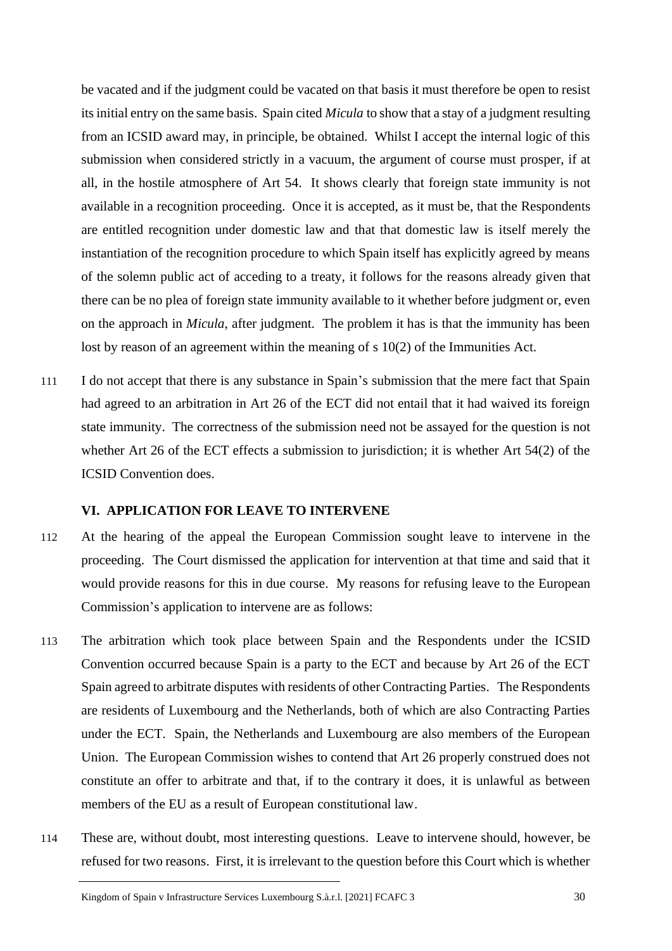be vacated and if the judgment could be vacated on that basis it must therefore be open to resist its initial entry on the same basis. Spain cited *Micula* to show that a stay of a judgment resulting from an ICSID award may, in principle, be obtained. Whilst I accept the internal logic of this submission when considered strictly in a vacuum, the argument of course must prosper, if at all, in the hostile atmosphere of Art 54. It shows clearly that foreign state immunity is not available in a recognition proceeding. Once it is accepted, as it must be, that the Respondents are entitled recognition under domestic law and that that domestic law is itself merely the instantiation of the recognition procedure to which Spain itself has explicitly agreed by means of the solemn public act of acceding to a treaty, it follows for the reasons already given that there can be no plea of foreign state immunity available to it whether before judgment or, even on the approach in *Micula*, after judgment. The problem it has is that the immunity has been lost by reason of an agreement within the meaning of s 10(2) of the Immunities Act.

111 I do not accept that there is any substance in Spain's submission that the mere fact that Spain had agreed to an arbitration in Art 26 of the ECT did not entail that it had waived its foreign state immunity. The correctness of the submission need not be assayed for the question is not whether Art 26 of the ECT effects a submission to jurisdiction; it is whether Art 54(2) of the ICSID Convention does.

#### **VI. APPLICATION FOR LEAVE TO INTERVENE**

- 112 At the hearing of the appeal the European Commission sought leave to intervene in the proceeding. The Court dismissed the application for intervention at that time and said that it would provide reasons for this in due course. My reasons for refusing leave to the European Commission's application to intervene are as follows:
- 113 The arbitration which took place between Spain and the Respondents under the ICSID Convention occurred because Spain is a party to the ECT and because by Art 26 of the ECT Spain agreed to arbitrate disputes with residents of other Contracting Parties. The Respondents are residents of Luxembourg and the Netherlands, both of which are also Contracting Parties under the ECT. Spain, the Netherlands and Luxembourg are also members of the European Union. The European Commission wishes to contend that Art 26 properly construed does not constitute an offer to arbitrate and that, if to the contrary it does, it is unlawful as between members of the EU as a result of European constitutional law.
- 114 These are, without doubt, most interesting questions. Leave to intervene should, however, be refused for two reasons. First, it is irrelevant to the question before this Court which is whether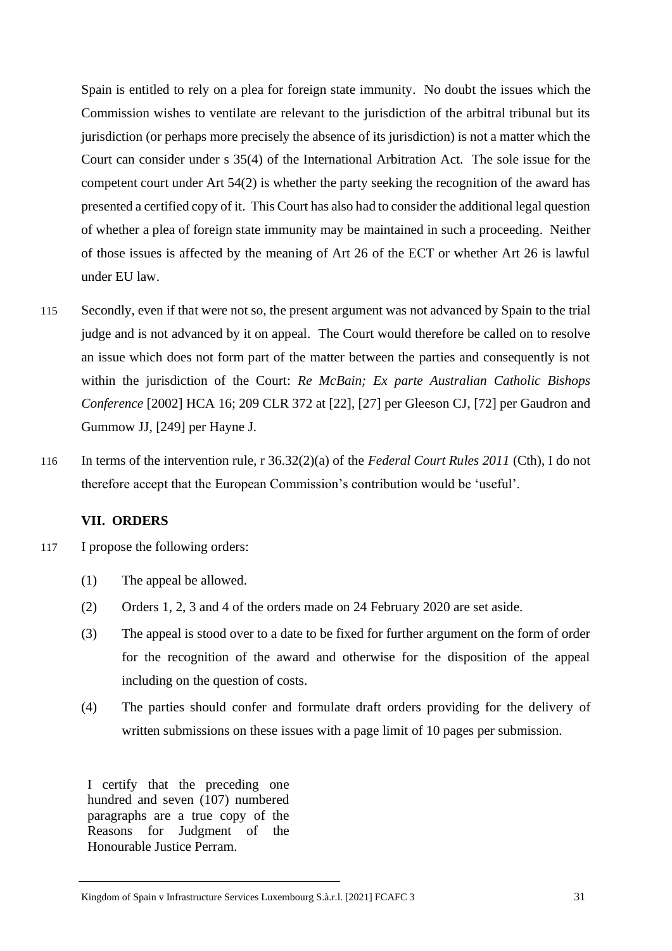Spain is entitled to rely on a plea for foreign state immunity. No doubt the issues which the Commission wishes to ventilate are relevant to the jurisdiction of the arbitral tribunal but its jurisdiction (or perhaps more precisely the absence of its jurisdiction) is not a matter which the Court can consider under s 35(4) of the International Arbitration Act. The sole issue for the competent court under Art 54(2) is whether the party seeking the recognition of the award has presented a certified copy of it. This Court has also had to consider the additional legal question of whether a plea of foreign state immunity may be maintained in such a proceeding. Neither of those issues is affected by the meaning of Art 26 of the ECT or whether Art 26 is lawful under EU law.

- 115 Secondly, even if that were not so, the present argument was not advanced by Spain to the trial judge and is not advanced by it on appeal. The Court would therefore be called on to resolve an issue which does not form part of the matter between the parties and consequently is not within the jurisdiction of the Court: *Re McBain; Ex parte Australian Catholic Bishops Conference* [2002] HCA 16; 209 CLR 372 at [22], [27] per Gleeson CJ, [72] per Gaudron and Gummow JJ, [249] per Hayne J.
- 116 In terms of the intervention rule, r 36.32(2)(a) of the *Federal Court Rules 2011* (Cth), I do not therefore accept that the European Commission's contribution would be 'useful'.

## **VII. ORDERS**

- 117 I propose the following orders:
	- (1) The appeal be allowed.
	- (2) Orders 1, 2, 3 and 4 of the orders made on 24 February 2020 are set aside.
	- (3) The appeal is stood over to a date to be fixed for further argument on the form of order for the recognition of the award and otherwise for the disposition of the appeal including on the question of costs.
	- (4) The parties should confer and formulate draft orders providing for the delivery of written submissions on these issues with a page limit of 10 pages per submission.

I certify that the preceding one hundred and seven (107) numbered paragraphs are a true copy of the Reasons for Judgment of the Honourable Justice Perram.

Kingdom of Spain v Infrastructure Services Luxembourg S.à.r.l. [2021] FCAFC 3 31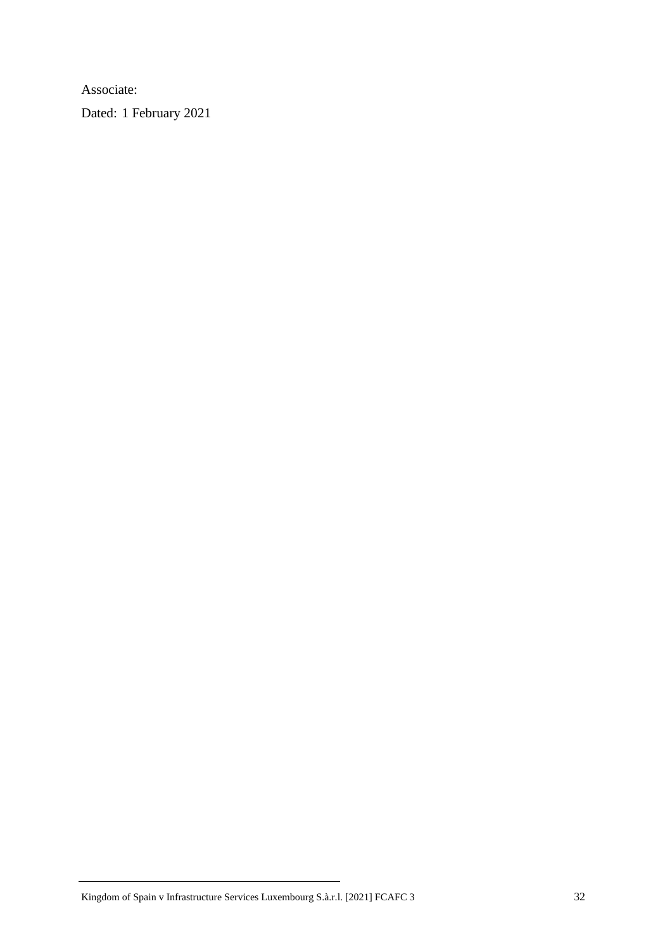Associate:

Dated: 1 February 2021

Kingdom of Spain v Infrastructure Services Luxembourg S.à.r.l. [2021] FCAFC 3 32